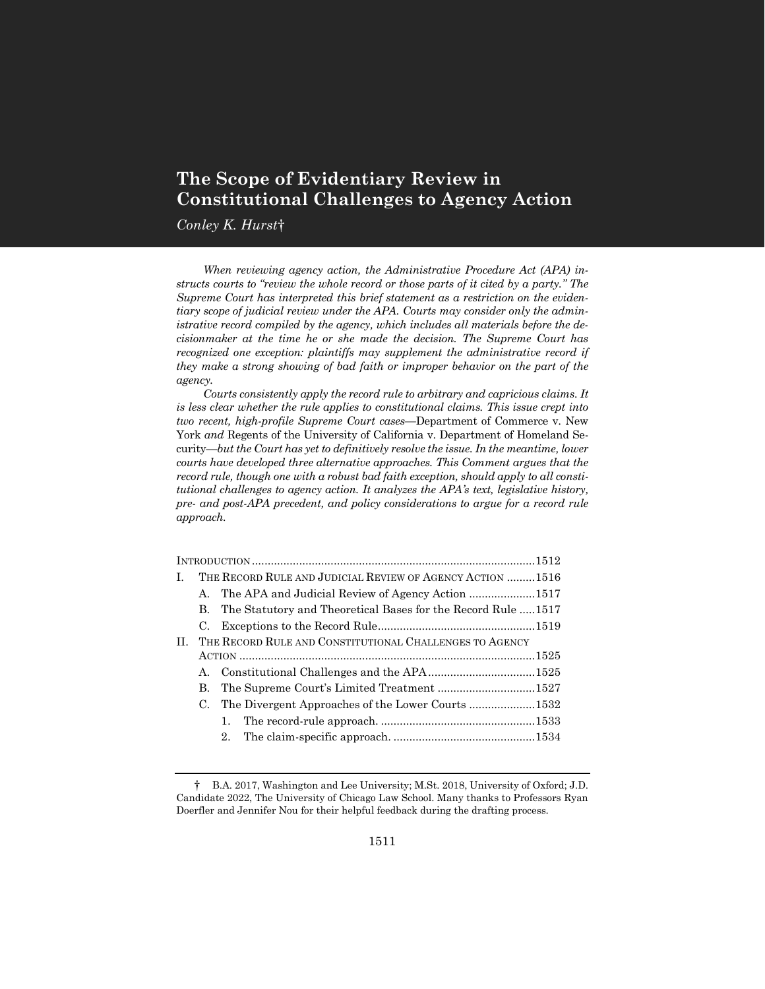# **The Scope of Evidentiary Review in Constitutional Challenges to Agency Action**

*Conley K. Hurst*†

*When reviewing agency action, the Administrative Procedure Act (APA) instructs courts to "review the whole record or those parts of it cited by a party." The Supreme Court has interpreted this brief statement as a restriction on the evidentiary scope of judicial review under the APA. Courts may consider only the administrative record compiled by the agency, which includes all materials before the decisionmaker at the time he or she made the decision. The Supreme Court has recognized one exception: plaintiffs may supplement the administrative record if they make a strong showing of bad faith or improper behavior on the part of the agency.*

*Courts consistently apply the record rule to arbitrary and capricious claims. It is less clear whether the rule applies to constitutional claims. This issue crept into two recent, high-profile Supreme Court cases—*Department of Commerce v. New York *and* Regents of the University of California v. Department of Homeland Security*—but the Court has yet to definitively resolve the issue. In the meantime, lower courts have developed three alternative approaches. This Comment argues that the record rule, though one with a robust bad faith exception, should apply to all constitutional challenges to agency action. It analyzes the APA's text, legislative history, pre- and post-APA precedent, and policy considerations to argue for a record rule approach.*

| L. |                                                         | THE RECORD RULE AND JUDICIAL REVIEW OF AGENCY ACTION 1516    |  |  |  |
|----|---------------------------------------------------------|--------------------------------------------------------------|--|--|--|
|    | $\mathbf{A}$ .                                          | The APA and Judicial Review of Agency Action 1517            |  |  |  |
|    | В.                                                      | The Statutory and Theoretical Bases for the Record Rule 1517 |  |  |  |
|    | C.                                                      |                                                              |  |  |  |
| H. | THE RECORD RULE AND CONSTITUTIONAL CHALLENGES TO AGENCY |                                                              |  |  |  |
|    |                                                         |                                                              |  |  |  |
|    | А.                                                      |                                                              |  |  |  |
|    | В.                                                      | The Supreme Court's Limited Treatment 1527                   |  |  |  |
|    | C.                                                      | The Divergent Approaches of the Lower Courts 1532            |  |  |  |
|    |                                                         | 1.                                                           |  |  |  |
|    |                                                         | $2_{-}$                                                      |  |  |  |
|    |                                                         |                                                              |  |  |  |

<sup>†</sup> B.A. 2017, Washington and Lee University; M.St. 2018, University of Oxford; J.D. Candidate 2022, The University of Chicago Law School. Many thanks to Professors Ryan Doerfler and Jennifer Nou for their helpful feedback during the drafting process.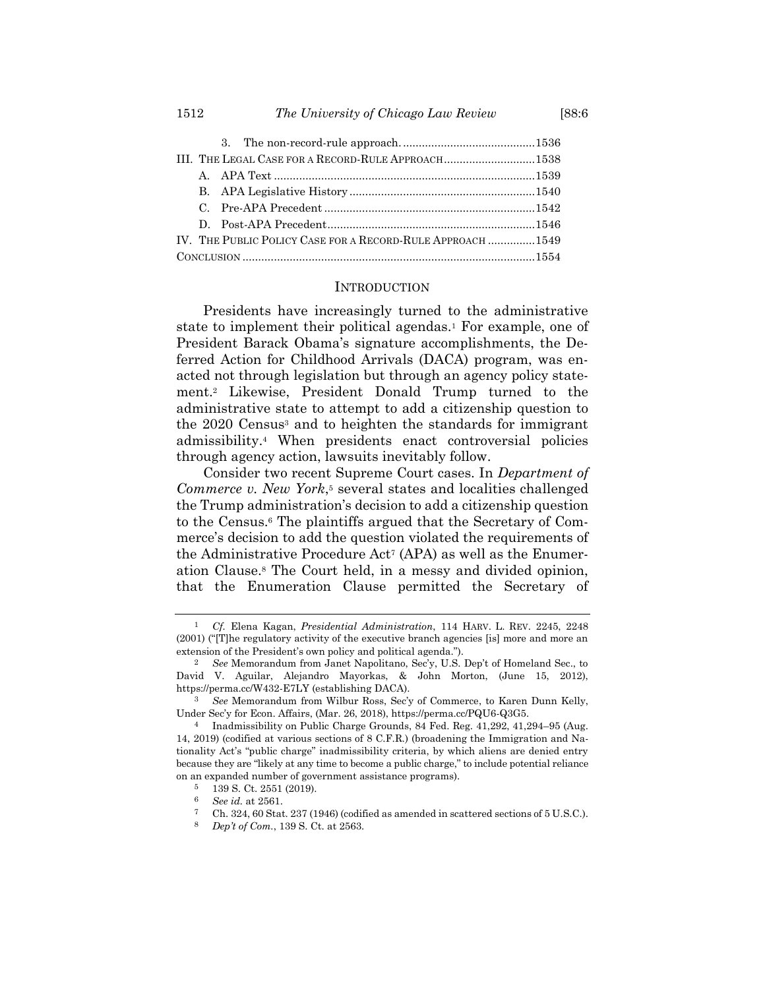|  | III. THE LEGAL CASE FOR A RECORD-RULE APPROACH1538         |  |  |  |
|--|------------------------------------------------------------|--|--|--|
|  |                                                            |  |  |  |
|  |                                                            |  |  |  |
|  |                                                            |  |  |  |
|  |                                                            |  |  |  |
|  | IV. THE PUBLIC POLICY CASE FOR A RECORD-RULE APPROACH 1549 |  |  |  |
|  |                                                            |  |  |  |

#### <span id="page-1-1"></span>INTRODUCTION

Presidents have increasingly turned to the administrative state to implement their political agendas.<sup>1</sup> For example, one of President Barack Obama's signature accomplishments, the Deferred Action for Childhood Arrivals (DACA) program, was enacted not through legislation but through an agency policy statement.<sup>2</sup> Likewise, President Donald Trump turned to the administrative state to attempt to add a citizenship question to the 2020 Census<sup>3</sup> and to heighten the standards for immigrant admissibility.<sup>4</sup> When presidents enact controversial policies through agency action, lawsuits inevitably follow.

<span id="page-1-0"></span>Consider two recent Supreme Court cases. In *Department of Commerce v. New York*, <sup>5</sup> several states and localities challenged the Trump administration's decision to add a citizenship question to the Census.<sup>6</sup> The plaintiffs argued that the Secretary of Commerce's decision to add the question violated the requirements of the Administrative Procedure Act<sup>7</sup> (APA) as well as the Enumeration Clause.<sup>8</sup> The Court held, in a messy and divided opinion, that the Enumeration Clause permitted the Secretary of

<sup>1</sup> *Cf.* Elena Kagan, *Presidential Administration*, 114 HARV. L. REV. 2245, 2248 (2001) ("[T]he regulatory activity of the executive branch agencies [is] more and more an extension of the President's own policy and political agenda.").

<sup>2</sup> *See* Memorandum from Janet Napolitano, Sec'y, U.S. Dep't of Homeland Sec., to David V. Aguilar, Alejandro Mayorkas, & John Morton, (June 15, 2012), https://perma.cc/W432-E7LY (establishing DACA).

<sup>3</sup> *See* Memorandum from Wilbur Ross, Sec'y of Commerce, to Karen Dunn Kelly, Under Sec'y for Econ. Affairs, (Mar. 26, 2018), https://perma.cc/PQU6-Q3G5.

<sup>4</sup> Inadmissibility on Public Charge Grounds, 84 Fed. Reg. 41,292, 41,294–95 (Aug. 14, 2019) (codified at various sections of 8 C.F.R.) (broadening the Immigration and Nationality Act's "public charge" inadmissibility criteria, by which aliens are denied entry because they are "likely at any time to become a public charge," to include potential reliance on an expanded number of government assistance programs).

<sup>5</sup> 139 S. Ct. 2551 (2019).

<sup>6</sup> *See id.* at 2561.

<sup>7</sup> Ch. 324, 60 Stat. 237 (1946) (codified as amended in scattered sections of 5 U.S.C.).

<sup>8</sup> *Dep't of Com.*, 139 S. Ct. at 2563.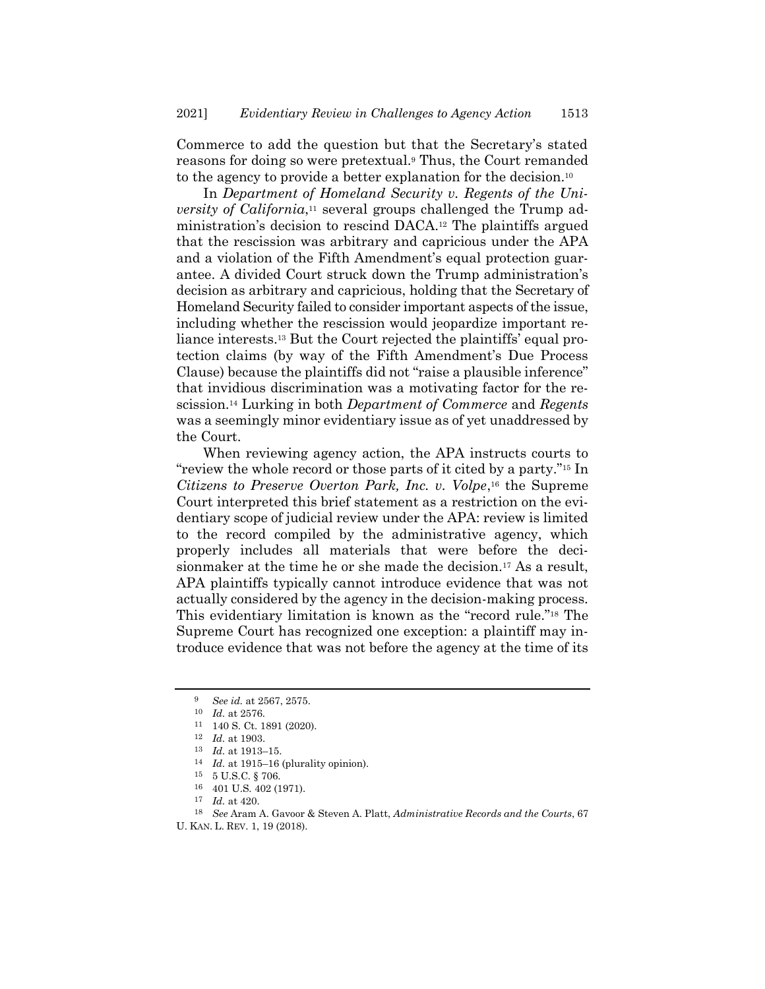Commerce to add the question but that the Secretary's stated reasons for doing so were pretextual.<sup>9</sup> Thus, the Court remanded to the agency to provide a better explanation for the decision.<sup>10</sup>

In *Department of Homeland Security v. Regents of the University of California*, <sup>11</sup> several groups challenged the Trump administration's decision to rescind DACA.<sup>12</sup> The plaintiffs argued that the rescission was arbitrary and capricious under the APA and a violation of the Fifth Amendment's equal protection guarantee. A divided Court struck down the Trump administration's decision as arbitrary and capricious, holding that the Secretary of Homeland Security failed to consider important aspects of the issue, including whether the rescission would jeopardize important reliance interests.<sup>13</sup> But the Court rejected the plaintiffs' equal protection claims (by way of the Fifth Amendment's Due Process Clause) because the plaintiffs did not "raise a plausible inference" that invidious discrimination was a motivating factor for the rescission.<sup>14</sup> Lurking in both *Department of Commerce* and *Regents* was a seemingly minor evidentiary issue as of yet unaddressed by the Court.

<span id="page-2-1"></span>When reviewing agency action, the APA instructs courts to "review the whole record or those parts of it cited by a party."<sup>15</sup> In Citizens to Preserve Overton Park, Inc. v. Volpe,<sup>16</sup> the Supreme Court interpreted this brief statement as a restriction on the evidentiary scope of judicial review under the APA: review is limited to the record compiled by the administrative agency, which properly includes all materials that were before the decisionmaker at the time he or she made the decision.<sup>17</sup> As a result, APA plaintiffs typically cannot introduce evidence that was not actually considered by the agency in the decision-making process. This evidentiary limitation is known as the "record rule."<sup>18</sup> The Supreme Court has recognized one exception: a plaintiff may introduce evidence that was not before the agency at the time of its

<span id="page-2-0"></span><sup>9</sup> *See id.* at 2567, 2575.

<sup>10</sup> *Id.* at 2576.

<sup>11</sup> 140 S. Ct. 1891 (2020).

<sup>12</sup> *Id.* at 1903.

<sup>13</sup> *Id.* at 1913–15.

<sup>14</sup> *Id.* at 1915–16 (plurality opinion).

<sup>15</sup> 5 U.S.C. § 706.

<sup>16</sup> 401 U.S. 402 (1971).

<sup>17</sup> *Id.* at 420.

<sup>18</sup> *See* Aram A. Gavoor & Steven A. Platt, *Administrative Records and the Courts*, 67

U. KAN. L. REV. 1, 19 (2018).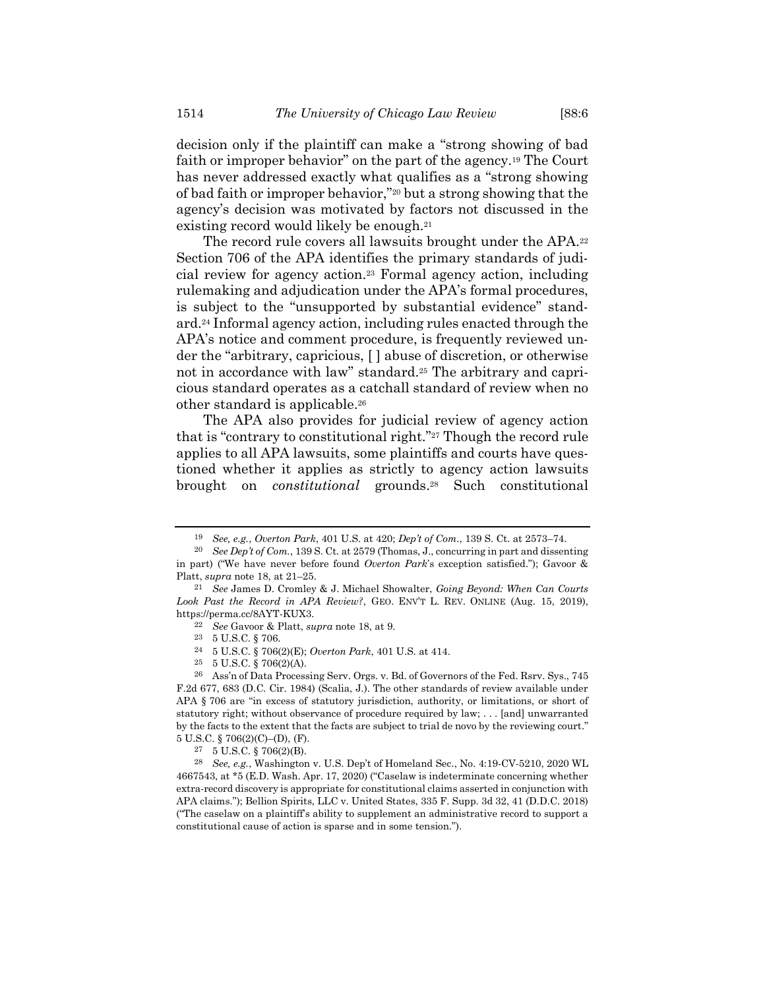decision only if the plaintiff can make a "strong showing of bad faith or improper behavior" on the part of the agency.<sup>19</sup> The Court has never addressed exactly what qualifies as a "strong showing of bad faith or improper behavior,"<sup>20</sup> but a strong showing that the agency's decision was motivated by factors not discussed in the existing record would likely be enough.<sup>21</sup>

<span id="page-3-0"></span>The record rule covers all lawsuits brought under the APA.<sup>22</sup> Section 706 of the APA identifies the primary standards of judicial review for agency action.<sup>23</sup> Formal agency action, including rulemaking and adjudication under the APA's formal procedures, is subject to the "unsupported by substantial evidence" standard.<sup>24</sup> Informal agency action, including rules enacted through the APA's notice and comment procedure, is frequently reviewed under the "arbitrary, capricious, [ ] abuse of discretion, or otherwise not in accordance with law" standard.<sup>25</sup> The arbitrary and capricious standard operates as a catchall standard of review when no other standard is applicable.<sup>26</sup>

The APA also provides for judicial review of agency action that is "contrary to constitutional right."<sup>27</sup> Though the record rule applies to all APA lawsuits, some plaintiffs and courts have questioned whether it applies as strictly to agency action lawsuits brought on *constitutional* grounds. <sup>28</sup> Such constitutional

<sup>19</sup> *See, e.g.*, *Overton Park*, 401 U.S. at 420; *Dep't of Com.*, 139 S. Ct. at 2573–74.

<sup>20</sup> *See Dep't of Com.*, 139 S. Ct. at 2579 (Thomas, J., concurring in part and dissenting in part) ("We have never before found *Overton Park*'s exception satisfied."); Gavoor & Platt, *supra* not[e 18,](#page-2-0) at 21–25.

<sup>21</sup> *See* James D. Cromley & J. Michael Showalter, *Going Beyond: When Can Courts Look Past the Record in APA Review?*, GEO. ENV'T L. REV. ONLINE (Aug. 15, 2019), https://perma.cc/8AYT-KUX3.

<sup>22</sup> *See* Gavoor & Platt, *supra* not[e 18,](#page-2-0) at 9.

<sup>23</sup> 5 U.S.C. § 706.

<sup>24</sup> 5 U.S.C. § 706(2)(E); *Overton Park*, 401 U.S. at 414.

 $25$  5 U.S.C. § 706(2)(A).

<sup>26</sup> Ass'n of Data Processing Serv. Orgs. v. Bd. of Governors of the Fed. Rsrv. Sys., 745 F.2d 677, 683 (D.C. Cir. 1984) (Scalia, J.). The other standards of review available under APA § 706 are "in excess of statutory jurisdiction, authority, or limitations, or short of statutory right; without observance of procedure required by law; . . . [and] unwarranted by the facts to the extent that the facts are subject to trial de novo by the reviewing court." 5 U.S.C. § 706(2)(C)–(D), (F).

 $27 \quad 5 \text{ U.S.C. }$ § 706(2)(B).

<sup>28</sup> *See, e.g.*, Washington v. U.S. Dep't of Homeland Sec., No. 4:19-CV-5210, 2020 WL 4667543, at \*5 (E.D. Wash. Apr. 17, 2020) ("Caselaw is indeterminate concerning whether extra-record discovery is appropriate for constitutional claims asserted in conjunction with APA claims."); Bellion Spirits, LLC v. United States, 335 F. Supp. 3d 32, 41 (D.D.C. 2018) ("The caselaw on a plaintiff's ability to supplement an administrative record to support a constitutional cause of action is sparse and in some tension.").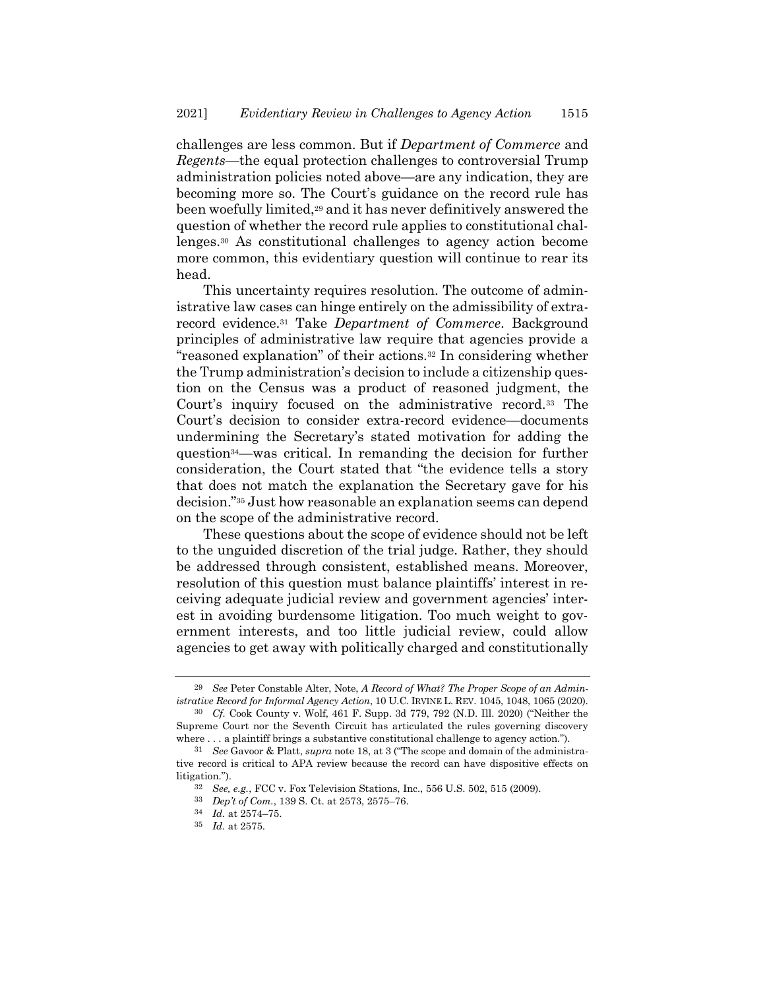<span id="page-4-0"></span>challenges are less common. But if *Department of Commerce* and *Regents*—the equal protection challenges to controversial Trump administration policies noted above—are any indication, they are becoming more so. The Court's guidance on the record rule has been woefully limited,<sup>29</sup> and it has never definitively answered the question of whether the record rule applies to constitutional challenges.<sup>30</sup> As constitutional challenges to agency action become more common, this evidentiary question will continue to rear its head.

This uncertainty requires resolution. The outcome of administrative law cases can hinge entirely on the admissibility of extrarecord evidence. <sup>31</sup> Take *Department of Commerce*. Background principles of administrative law require that agencies provide a "reasoned explanation" of their actions.<sup>32</sup> In considering whether the Trump administration's decision to include a citizenship question on the Census was a product of reasoned judgment, the Court's inquiry focused on the administrative record.<sup>33</sup> The Court's decision to consider extra-record evidence—documents undermining the Secretary's stated motivation for adding the question34—was critical. In remanding the decision for further consideration, the Court stated that "the evidence tells a story that does not match the explanation the Secretary gave for his decision."<sup>35</sup> Just how reasonable an explanation seems can depend on the scope of the administrative record.

These questions about the scope of evidence should not be left to the unguided discretion of the trial judge. Rather, they should be addressed through consistent, established means. Moreover, resolution of this question must balance plaintiffs' interest in receiving adequate judicial review and government agencies' interest in avoiding burdensome litigation. Too much weight to government interests, and too little judicial review, could allow agencies to get away with politically charged and constitutionally

<sup>29</sup> *See* Peter Constable Alter, Note, *A Record of What? The Proper Scope of an Administrative Record for Informal Agency Action*, 10 U.C. IRVINE L. REV. 1045, 1048, 1065 (2020).

<sup>30</sup> *Cf.* Cook County v. Wolf, 461 F. Supp. 3d 779, 792 (N.D. Ill. 2020) ("Neither the Supreme Court nor the Seventh Circuit has articulated the rules governing discovery where  $\ldots$  a plaintiff brings a substantive constitutional challenge to agency action.").

<sup>31</sup> *See* Gavoor & Platt, *supra* not[e 18](#page-2-0), at 3 ("The scope and domain of the administrative record is critical to APA review because the record can have dispositive effects on litigation.").

<sup>32</sup> *See, e.g.*, FCC v. Fox Television Stations, Inc., 556 U.S. 502, 515 (2009).

<sup>33</sup> *Dep't of Com.*, 139 S. Ct. at 2573, 2575–76.

<sup>34</sup> *Id.* at 2574–75.

<sup>35</sup> *Id.* at 2575.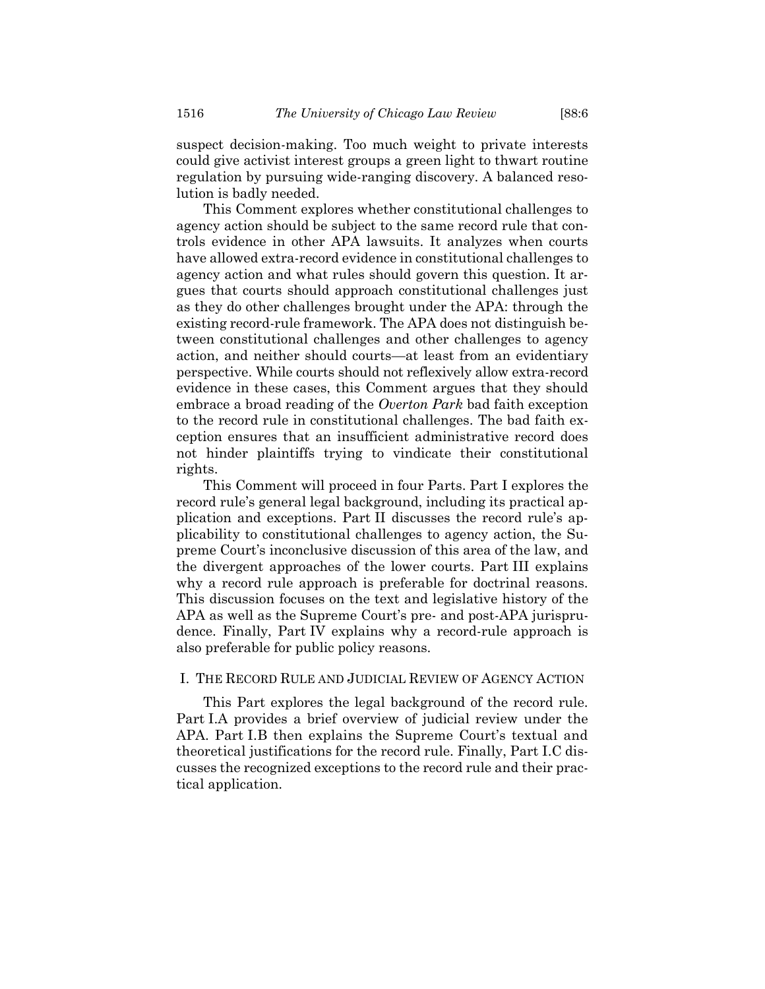suspect decision-making. Too much weight to private interests could give activist interest groups a green light to thwart routine regulation by pursuing wide-ranging discovery. A balanced resolution is badly needed.

This Comment explores whether constitutional challenges to agency action should be subject to the same record rule that controls evidence in other APA lawsuits. It analyzes when courts have allowed extra-record evidence in constitutional challenges to agency action and what rules should govern this question. It argues that courts should approach constitutional challenges just as they do other challenges brought under the APA: through the existing record-rule framework. The APA does not distinguish between constitutional challenges and other challenges to agency action, and neither should courts—at least from an evidentiary perspective. While courts should not reflexively allow extra-record evidence in these cases, this Comment argues that they should embrace a broad reading of the *Overton Park* bad faith exception to the record rule in constitutional challenges. The bad faith exception ensures that an insufficient administrative record does not hinder plaintiffs trying to vindicate their constitutional rights.

This Comment will proceed in four Parts. Part I explores the record rule's general legal background, including its practical application and exceptions. Part II discusses the record rule's applicability to constitutional challenges to agency action, the Supreme Court's inconclusive discussion of this area of the law, and the divergent approaches of the lower courts. Part III explains why a record rule approach is preferable for doctrinal reasons. This discussion focuses on the text and legislative history of the APA as well as the Supreme Court's pre- and post-APA jurisprudence. Finally, Part IV explains why a record-rule approach is also preferable for public policy reasons.

# I. THE RECORD RULE AND JUDICIAL REVIEW OF AGENCY ACTION

This Part explores the legal background of the record rule. Part I.A provides a brief overview of judicial review under the APA. Part I.B then explains the Supreme Court's textual and theoretical justifications for the record rule. Finally, Part I.C discusses the recognized exceptions to the record rule and their practical application.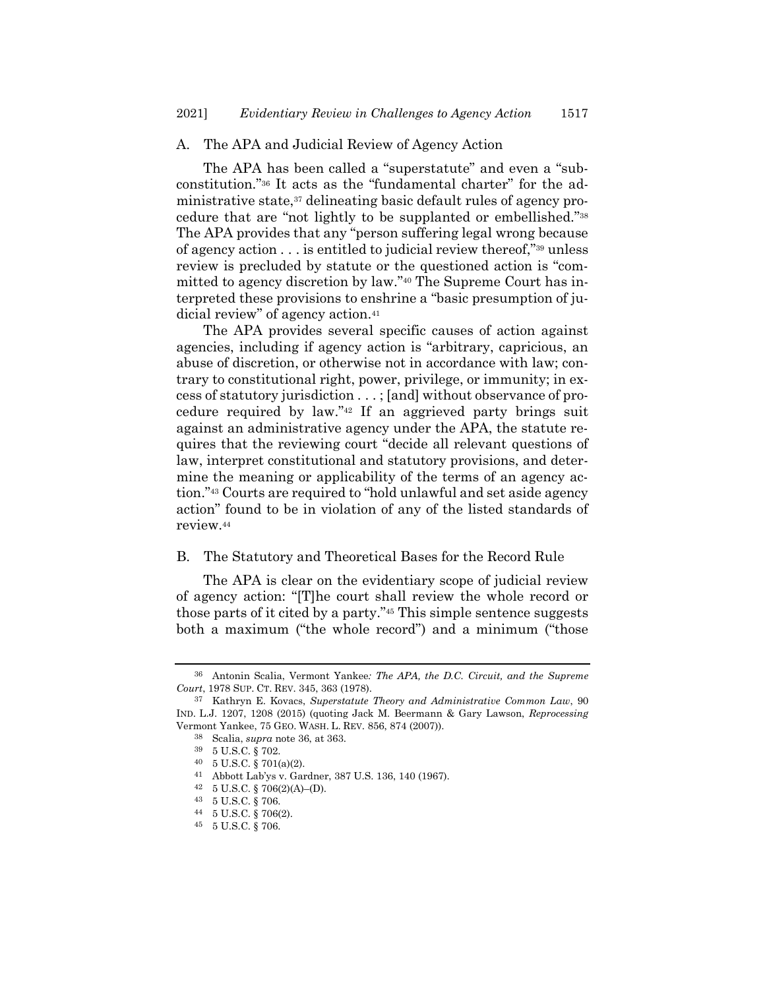#### A. The APA and Judicial Review of Agency Action

<span id="page-6-0"></span>The APA has been called a "superstatute" and even a "subconstitution."<sup>36</sup> It acts as the "fundamental charter" for the administrative state,<sup>37</sup> delineating basic default rules of agency procedure that are "not lightly to be supplanted or embellished."<sup>38</sup> The APA provides that any "person suffering legal wrong because of agency action . . . is entitled to judicial review thereof,"<sup>39</sup> unless review is precluded by statute or the questioned action is "committed to agency discretion by law."<sup>40</sup> The Supreme Court has interpreted these provisions to enshrine a "basic presumption of judicial review" of agency action.<sup>41</sup>

The APA provides several specific causes of action against agencies, including if agency action is "arbitrary, capricious, an abuse of discretion, or otherwise not in accordance with law; contrary to constitutional right, power, privilege, or immunity; in excess of statutory jurisdiction . . . ; [and] without observance of procedure required by law."<sup>42</sup> If an aggrieved party brings suit against an administrative agency under the APA, the statute requires that the reviewing court "decide all relevant questions of law, interpret constitutional and statutory provisions, and determine the meaning or applicability of the terms of an agency action."<sup>43</sup> Courts are required to "hold unlawful and set aside agency action" found to be in violation of any of the listed standards of review.<sup>44</sup>

## B. The Statutory and Theoretical Bases for the Record Rule

The APA is clear on the evidentiary scope of judicial review of agency action: "[T]he court shall review the whole record or those parts of it cited by a party."<sup>45</sup> This simple sentence suggests both a maximum ("the whole record") and a minimum ("those

<sup>36</sup> Antonin Scalia, Vermont Yankee*: The APA, the D.C. Circuit, and the Supreme Court*, 1978 SUP. CT. REV. 345, 363 (1978).

<sup>37</sup> Kathryn E. Kovacs, *Superstatute Theory and Administrative Common Law*, 90 IND. L.J. 1207, 1208 (2015) (quoting Jack M. Beermann & Gary Lawson, *Reprocessing*  Vermont Yankee, 75 GEO. WASH. L. REV. 856, 874 (2007)).

<sup>38</sup> Scalia, *supra* not[e 36,](#page-6-0) at 363.

<sup>39</sup> 5 U.S.C. § 702.

<sup>40</sup> 5 U.S.C. § 701(a)(2).

<sup>41</sup> Abbott Lab'ys v. Gardner, 387 U.S. 136, 140 (1967).

<sup>42</sup> 5 U.S.C. § 706(2)(A)–(D).

<sup>43</sup> 5 U.S.C. § 706.

<sup>44</sup> 5 U.S.C. § 706(2).

<sup>45</sup> 5 U.S.C. § 706.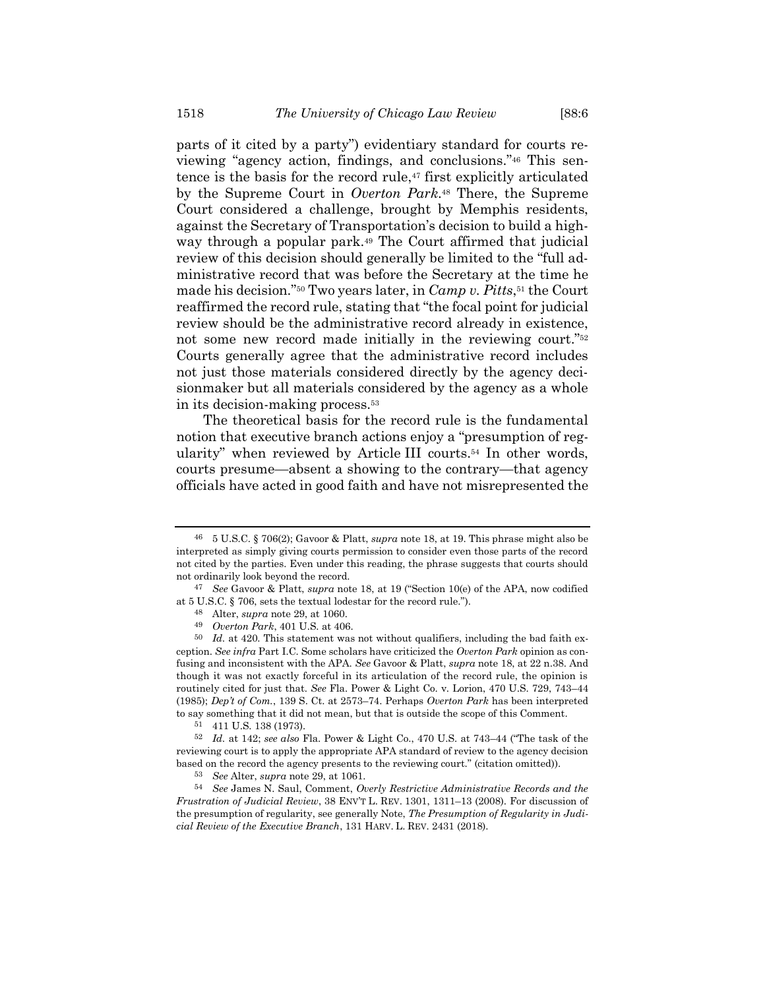<span id="page-7-1"></span>parts of it cited by a party") evidentiary standard for courts reviewing "agency action, findings, and conclusions."<sup>46</sup> This sentence is the basis for the record rule,<sup>47</sup> first explicitly articulated by the Supreme Court in *Overton Park*. <sup>48</sup> There, the Supreme Court considered a challenge, brought by Memphis residents, against the Secretary of Transportation's decision to build a highway through a popular park.<sup>49</sup> The Court affirmed that judicial review of this decision should generally be limited to the "full administrative record that was before the Secretary at the time he made his decision."<sup>50</sup> Two years later, in *Camp v. Pitts*, <sup>51</sup> the Court reaffirmed the record rule, stating that "the focal point for judicial review should be the administrative record already in existence, not some new record made initially in the reviewing court."<sup>52</sup> Courts generally agree that the administrative record includes not just those materials considered directly by the agency decisionmaker but all materials considered by the agency as a whole in its decision-making process.<sup>53</sup>

<span id="page-7-0"></span>The theoretical basis for the record rule is the fundamental notion that executive branch actions enjoy a "presumption of regularity" when reviewed by Article III courts.<sup>54</sup> In other words, courts presume—absent a showing to the contrary—that agency officials have acted in good faith and have not misrepresented the

52 *Id.* at 142; *see also* Fla. Power & Light Co., 470 U.S. at 743–44 ("The task of the reviewing court is to apply the appropriate APA standard of review to the agency decision based on the record the agency presents to the reviewing court." (citation omitted)).

<sup>46</sup> 5 U.S.C. § 706(2); Gavoor & Platt, *supra* note [18,](#page-2-0) at 19. This phrase might also be interpreted as simply giving courts permission to consider even those parts of the record not cited by the parties. Even under this reading, the phrase suggests that courts should not ordinarily look beyond the record.

<sup>47</sup> *See* Gavoor & Platt, *supra* not[e 18](#page-2-0), at 19 ("Section 10(e) of the APA, now codified at 5 U.S.C. § 706, sets the textual lodestar for the record rule.").

<sup>48</sup> Alter, *supra* note [29,](#page-4-0) at 1060.

<sup>49</sup> *Overton Park*, 401 U.S. at 406.

<sup>50</sup> *Id.* at 420. This statement was not without qualifiers, including the bad faith exception. *See infra* Part I.C. Some scholars have criticized the *Overton Park* opinion as confusing and inconsistent with the APA. *See* Gavoor & Platt, *supra* note [18,](#page-2-0) at 22 n.38. And though it was not exactly forceful in its articulation of the record rule, the opinion is routinely cited for just that. *See* Fla. Power & Light Co. v. Lorion, 470 U.S. 729, 743–44 (1985); *Dep't of Com.*, 139 S. Ct. at 2573–74. Perhaps *Overton Park* has been interpreted to say something that it did not mean, but that is outside the scope of this Comment.

<sup>51</sup> 411 U.S. 138 (1973).

<sup>53</sup> *See* Alter, *supra* not[e 29,](#page-4-0) at 1061.

<sup>54</sup> *See* James N. Saul, Comment, *Overly Restrictive Administrative Records and the Frustration of Judicial Review*, 38 ENV'T L. REV. 1301, 1311–13 (2008). For discussion of the presumption of regularity, see generally Note, *The Presumption of Regularity in Judicial Review of the Executive Branch*, 131 HARV. L. REV. 2431 (2018).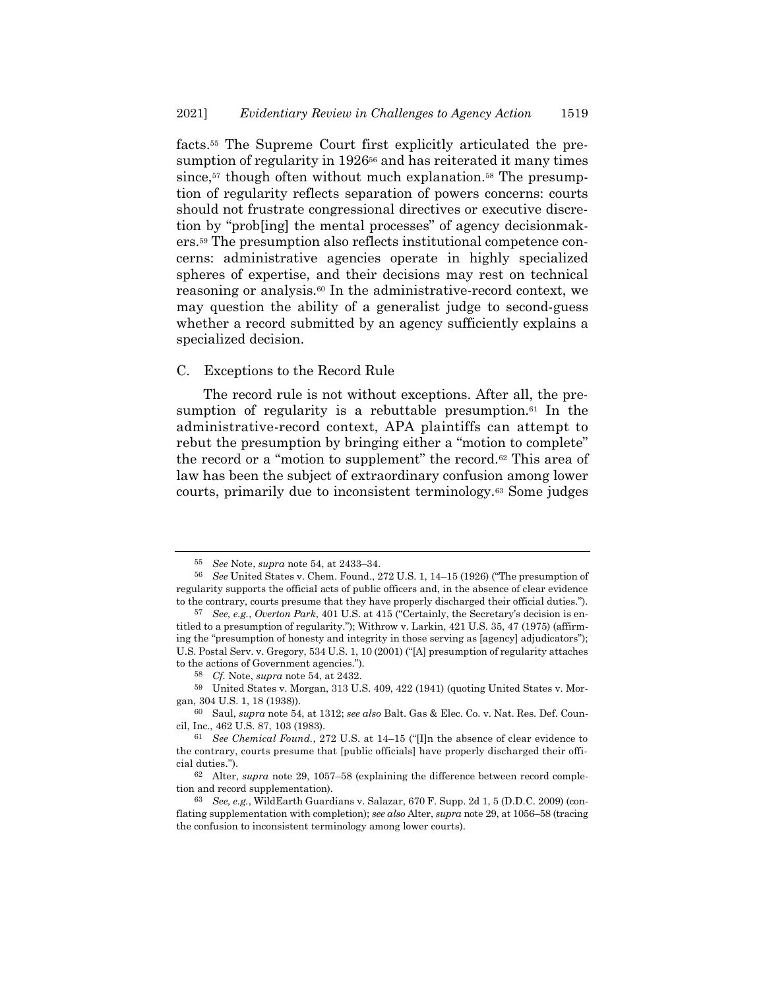facts.<sup>55</sup> The Supreme Court first explicitly articulated the presumption of regularity in 1926<sup>56</sup> and has reiterated it many times since,<sup>57</sup> though often without much explanation.<sup>58</sup> The presumption of regularity reflects separation of powers concerns: courts should not frustrate congressional directives or executive discretion by "prob[ing] the mental processes" of agency decisionmakers.<sup>59</sup> The presumption also reflects institutional competence concerns: administrative agencies operate in highly specialized spheres of expertise, and their decisions may rest on technical reasoning or analysis.<sup>60</sup> In the administrative-record context, we may question the ability of a generalist judge to second-guess whether a record submitted by an agency sufficiently explains a specialized decision.

#### C. Exceptions to the Record Rule

The record rule is not without exceptions. After all, the presumption of regularity is a rebuttable presumption.<sup>61</sup> In the administrative-record context, APA plaintiffs can attempt to rebut the presumption by bringing either a "motion to complete" the record or a "motion to supplement" the record.<sup>62</sup> This area of law has been the subject of extraordinary confusion among lower courts, primarily due to inconsistent terminology.<sup>63</sup> Some judges

<sup>55</sup> *See* Note, *supra* not[e 54,](#page-7-0) at 2433–34.

<sup>56</sup> *See* United States v. Chem. Found., 272 U.S. 1, 14–15 (1926) ("The presumption of regularity supports the official acts of public officers and, in the absence of clear evidence to the contrary, courts presume that they have properly discharged their official duties.").

<sup>57</sup> *See, e.g.*, *Overton Park*, 401 U.S. at 415 ("Certainly, the Secretary's decision is entitled to a presumption of regularity."); Withrow v. Larkin, 421 U.S. 35, 47 (1975) (affirming the "presumption of honesty and integrity in those serving as [agency] adjudicators"); U.S. Postal Serv. v. Gregory, 534 U.S. 1, 10 (2001) ("[A] presumption of regularity attaches to the actions of Government agencies.").

<sup>58</sup> *Cf.* Note, *supra* not[e 54,](#page-7-0) at 2432.

<sup>59</sup> United States v. Morgan, 313 U.S. 409, 422 (1941) (quoting United States v. Morgan, 304 U.S. 1, 18 (1938)).

<sup>60</sup> Saul, *supra* not[e 54,](#page-7-0) at 1312; *see also* Balt. Gas & Elec. Co. v. Nat. Res. Def. Council, Inc., 462 U.S. 87, 103 (1983).

<sup>61</sup> *See Chemical Found.*, 272 U.S. at 14–15 ("[I]n the absence of clear evidence to the contrary, courts presume that [public officials] have properly discharged their official duties.").

<sup>62</sup> Alter, *supra* note [29,](#page-4-0) 1057–58 (explaining the difference between record completion and record supplementation).

<sup>63</sup> *See, e.g.*, WildEarth Guardians v. Salazar, 670 F. Supp. 2d 1, 5 (D.D.C. 2009) (conflating supplementation with completion); *see also* Alter, *supra* not[e 29,](#page-4-0) at 1056–58 (tracing the confusion to inconsistent terminology among lower courts).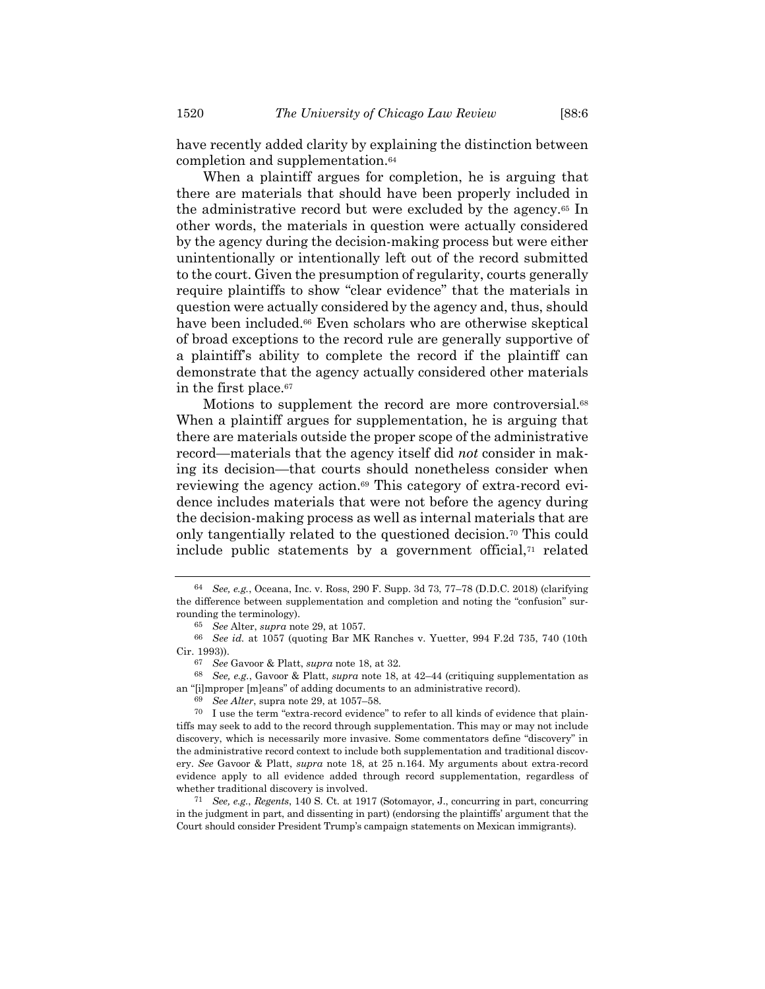have recently added clarity by explaining the distinction between completion and supplementation.<sup>64</sup>

When a plaintiff argues for completion, he is arguing that there are materials that should have been properly included in the administrative record but were excluded by the agency.<sup>65</sup> In other words, the materials in question were actually considered by the agency during the decision-making process but were either unintentionally or intentionally left out of the record submitted to the court. Given the presumption of regularity, courts generally require plaintiffs to show "clear evidence" that the materials in question were actually considered by the agency and, thus, should have been included.<sup>66</sup> Even scholars who are otherwise skeptical of broad exceptions to the record rule are generally supportive of a plaintiff's ability to complete the record if the plaintiff can demonstrate that the agency actually considered other materials in the first place.<sup>67</sup>

Motions to supplement the record are more controversial.<sup>68</sup> When a plaintiff argues for supplementation, he is arguing that there are materials outside the proper scope of the administrative record—materials that the agency itself did *not* consider in making its decision—that courts should nonetheless consider when reviewing the agency action. <sup>69</sup> This category of extra-record evidence includes materials that were not before the agency during the decision-making process as well as internal materials that are only tangentially related to the questioned decision.<sup>70</sup> This could include public statements by a government official, $\tau$  related

<sup>64</sup> *See, e.g.*, Oceana, Inc. v. Ross, 290 F. Supp. 3d 73, 77–78 (D.D.C. 2018) (clarifying the difference between supplementation and completion and noting the "confusion" surrounding the terminology).

<sup>65</sup> *See* Alter, *supra* not[e 29,](#page-4-0) at 1057.

<sup>66</sup> *See id.* at 1057 (quoting Bar MK Ranches v. Yuetter, 994 F.2d 735, 740 (10th Cir. 1993)).

<sup>67</sup> *See* Gavoor & Platt, *supra* not[e 18,](#page-2-0) at 32.

<sup>68</sup> *See, e.g.*, Gavoor & Platt, *supra* note [18,](#page-2-0) at 42–44 (critiquing supplementation as an "[i]mproper [m]eans" of adding documents to an administrative record).

<sup>69</sup> *See Alter*, supra note [29,](#page-4-0) at 1057–58.

<sup>70</sup> I use the term "extra-record evidence" to refer to all kinds of evidence that plaintiffs may seek to add to the record through supplementation. This may or may not include discovery, which is necessarily more invasive. Some commentators define "discovery" in the administrative record context to include both supplementation and traditional discovery. *See* Gavoor & Platt, *supra* note [18,](#page-2-0) at 25 n.164. My arguments about extra-record evidence apply to all evidence added through record supplementation, regardless of whether traditional discovery is involved.

<sup>71</sup> *See, e.g.*, *Regents*, 140 S. Ct. at 1917 (Sotomayor, J., concurring in part, concurring in the judgment in part, and dissenting in part) (endorsing the plaintiffs' argument that the Court should consider President Trump's campaign statements on Mexican immigrants).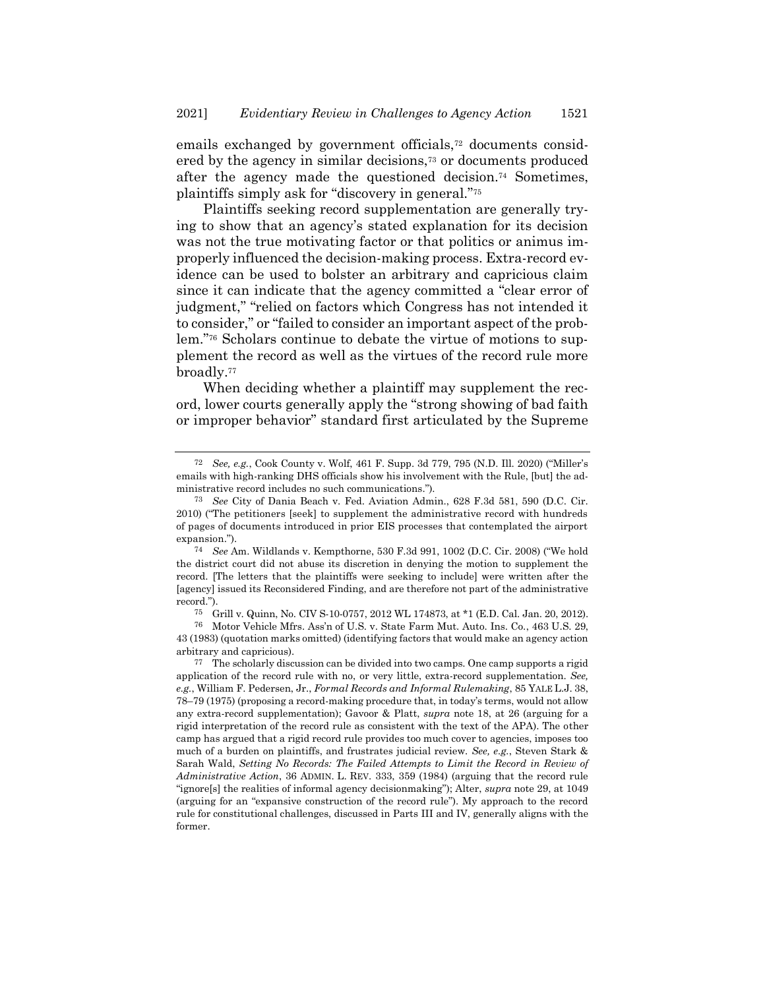emails exchanged by government officials,<sup>72</sup> documents considered by the agency in similar decisions,<sup>73</sup> or documents produced after the agency made the questioned decision.<sup>74</sup> Sometimes, plaintiffs simply ask for "discovery in general."<sup>75</sup>

Plaintiffs seeking record supplementation are generally trying to show that an agency's stated explanation for its decision was not the true motivating factor or that politics or animus improperly influenced the decision-making process. Extra-record evidence can be used to bolster an arbitrary and capricious claim since it can indicate that the agency committed a "clear error of judgment," "relied on factors which Congress has not intended it to consider," or "failed to consider an important aspect of the problem."<sup>76</sup> Scholars continue to debate the virtue of motions to supplement the record as well as the virtues of the record rule more broadly.<sup>77</sup>

When deciding whether a plaintiff may supplement the record, lower courts generally apply the "strong showing of bad faith or improper behavior" standard first articulated by the Supreme

75 Grill v. Quinn, No. CIV S-10-0757, 2012 WL 174873, at \*1 (E.D. Cal. Jan. 20, 2012).

76 Motor Vehicle Mfrs. Ass'n of U.S. v. State Farm Mut. Auto. Ins. Co., 463 U.S. 29, 43 (1983) (quotation marks omitted) (identifying factors that would make an agency action arbitrary and capricious).

<sup>72</sup> *See, e.g.*, Cook County v. Wolf, 461 F. Supp. 3d 779, 795 (N.D. Ill. 2020) ("Miller's emails with high-ranking DHS officials show his involvement with the Rule, [but] the administrative record includes no such communications.").

<sup>73</sup> *See* City of Dania Beach v. Fed. Aviation Admin., 628 F.3d 581, 590 (D.C. Cir. 2010) ("The petitioners [seek] to supplement the administrative record with hundreds of pages of documents introduced in prior EIS processes that contemplated the airport expansion.").

<sup>74</sup> *See* Am. Wildlands v. Kempthorne, 530 F.3d 991, 1002 (D.C. Cir. 2008) ("We hold the district court did not abuse its discretion in denying the motion to supplement the record. [The letters that the plaintiffs were seeking to include] were written after the [agency] issued its Reconsidered Finding, and are therefore not part of the administrative record.").

<sup>77</sup> The scholarly discussion can be divided into two camps. One camp supports a rigid application of the record rule with no, or very little, extra-record supplementation. *See, e.g.*, William F. Pedersen, Jr., *Formal Records and Informal Rulemaking*, 85 YALE L.J. 38, 78–79 (1975) (proposing a record-making procedure that, in today's terms, would not allow any extra-record supplementation); Gavoor & Platt, *supra* note [18,](#page-2-0) at 26 (arguing for a rigid interpretation of the record rule as consistent with the text of the APA). The other camp has argued that a rigid record rule provides too much cover to agencies, imposes too much of a burden on plaintiffs, and frustrates judicial review. *See, e.g.*, Steven Stark & Sarah Wald, *Setting No Records: The Failed Attempts to Limit the Record in Review of Administrative Action*, 36 ADMIN. L. REV. 333, 359 (1984) (arguing that the record rule "ignore[s] the realities of informal agency decisionmaking"); Alter, *supra* note [29,](#page-4-0) at 1049 (arguing for an "expansive construction of the record rule"). My approach to the record rule for constitutional challenges, discussed in Parts III and IV, generally aligns with the former.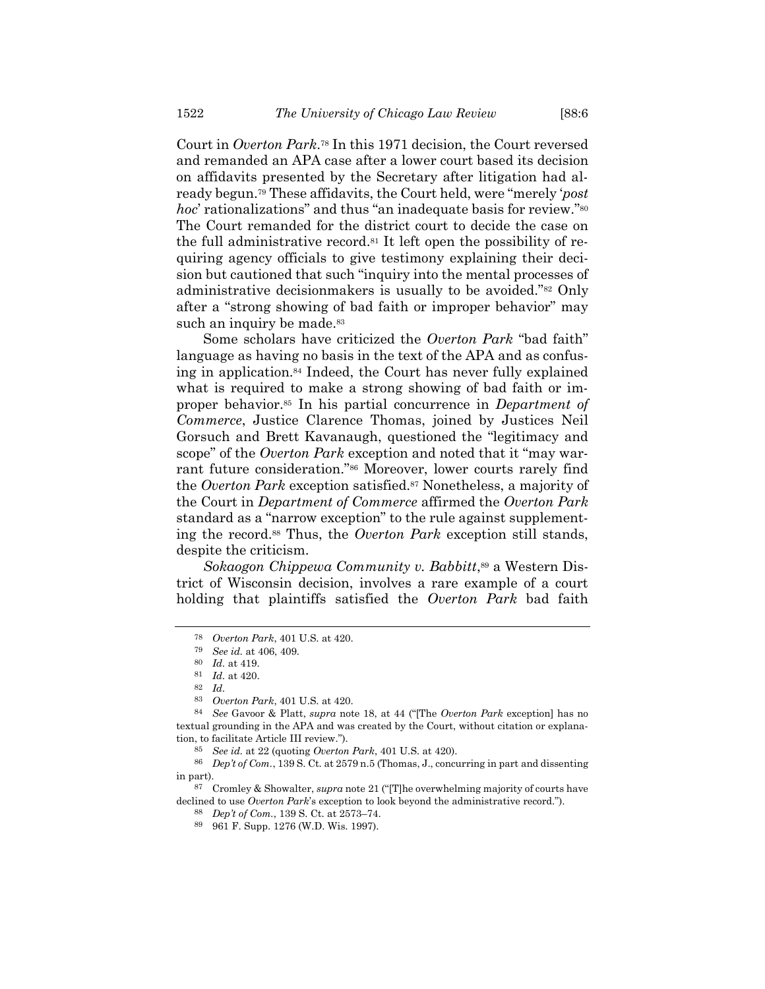Court in *Overton Park*. <sup>78</sup> In this 1971 decision, the Court reversed and remanded an APA case after a lower court based its decision on affidavits presented by the Secretary after litigation had already begun.<sup>79</sup> These affidavits, the Court held, were "merely '*post hoc*' rationalizations" and thus "an inadequate basis for review."<sup>80</sup> The Court remanded for the district court to decide the case on the full administrative record.<sup>81</sup> It left open the possibility of requiring agency officials to give testimony explaining their decision but cautioned that such "inquiry into the mental processes of administrative decisionmakers is usually to be avoided."<sup>82</sup> Only after a "strong showing of bad faith or improper behavior" may such an inquiry be made.<sup>83</sup>

Some scholars have criticized the *Overton Park* "bad faith" language as having no basis in the text of the APA and as confusing in application.<sup>84</sup> Indeed, the Court has never fully explained what is required to make a strong showing of bad faith or improper behavior.<sup>85</sup> In his partial concurrence in *Department of Commerce*, Justice Clarence Thomas, joined by Justices Neil Gorsuch and Brett Kavanaugh, questioned the "legitimacy and scope" of the *Overton Park* exception and noted that it "may warrant future consideration."<sup>86</sup> Moreover, lower courts rarely find the *Overton Park* exception satisfied.<sup>87</sup> Nonetheless, a majority of the Court in *Department of Commerce* affirmed the *Overton Park* standard as a "narrow exception" to the rule against supplementing the record.<sup>88</sup> Thus, the *Overton Park* exception still stands, despite the criticism.

*Sokaogon Chippewa Community v. Babbitt*, <sup>89</sup> a Western District of Wisconsin decision, involves a rare example of a court holding that plaintiffs satisfied the *Overton Park* bad faith

<sup>78</sup> *Overton Park*, 401 U.S. at 420.

<sup>79</sup> *See id.* at 406, 409.

<sup>80</sup> *Id.* at 419.

<sup>81</sup> *Id.* at 420.

<sup>82</sup> *Id.*

<sup>83</sup> *Overton Park*, 401 U.S. at 420.

<sup>84</sup> *See* Gavoor & Platt, *supra* note [18](#page-2-0), at 44 ("[The *Overton Park* exception] has no textual grounding in the APA and was created by the Court, without citation or explanation, to facilitate Article III review.").

<sup>85</sup> *See id.* at 22 (quoting *Overton Park*, 401 U.S. at 420).

<sup>86</sup> *Dep't of Com.*, 139 S. Ct. at 2579 n.5 (Thomas, J., concurring in part and dissenting in part).

<sup>87</sup> Cromley & Showalter, *supra* note [21](#page-3-0) ("[T]he overwhelming majority of courts have declined to use *Overton Park*'s exception to look beyond the administrative record.").

<sup>88</sup> *Dep't of Com.*, 139 S. Ct. at 2573–74.

<sup>89</sup> 961 F. Supp. 1276 (W.D. Wis. 1997).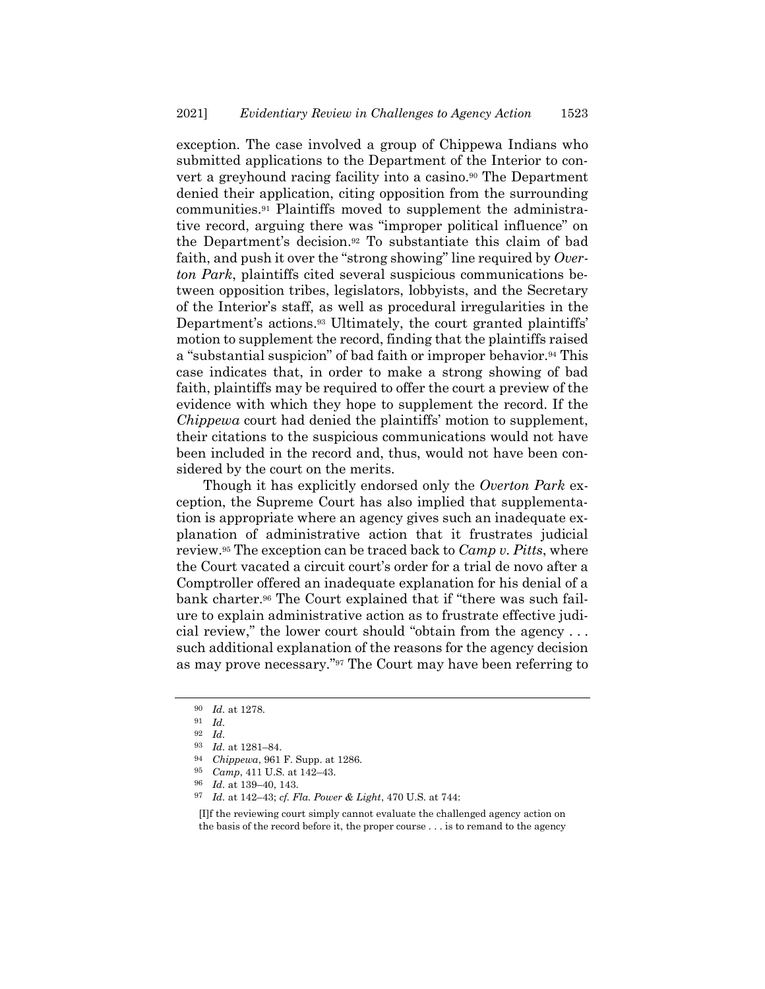exception. The case involved a group of Chippewa Indians who submitted applications to the Department of the Interior to convert a greyhound racing facility into a casino.<sup>90</sup> The Department denied their application, citing opposition from the surrounding communities.<sup>91</sup> Plaintiffs moved to supplement the administrative record, arguing there was "improper political influence" on the Department's decision.<sup>92</sup> To substantiate this claim of bad faith, and push it over the "strong showing" line required by *Overton Park*, plaintiffs cited several suspicious communications between opposition tribes, legislators, lobbyists, and the Secretary of the Interior's staff, as well as procedural irregularities in the Department's actions. <sup>93</sup> Ultimately, the court granted plaintiffs' motion to supplement the record, finding that the plaintiffs raised a "substantial suspicion" of bad faith or improper behavior.<sup>94</sup> This case indicates that, in order to make a strong showing of bad faith, plaintiffs may be required to offer the court a preview of the evidence with which they hope to supplement the record. If the *Chippewa* court had denied the plaintiffs' motion to supplement, their citations to the suspicious communications would not have been included in the record and, thus, would not have been considered by the court on the merits.

Though it has explicitly endorsed only the *Overton Park* exception, the Supreme Court has also implied that supplementation is appropriate where an agency gives such an inadequate explanation of administrative action that it frustrates judicial review.<sup>95</sup> The exception can be traced back to *Camp v. Pitts*, where the Court vacated a circuit court's order for a trial de novo after a Comptroller offered an inadequate explanation for his denial of a bank charter.<sup>96</sup> The Court explained that if "there was such failure to explain administrative action as to frustrate effective judicial review," the lower court should "obtain from the agency . . . such additional explanation of the reasons for the agency decision as may prove necessary."<sup>97</sup> The Court may have been referring to

[I]f the reviewing court simply cannot evaluate the challenged agency action on the basis of the record before it, the proper course . . . is to remand to the agency

<sup>90</sup> *Id.* at 1278.

<sup>91</sup> *Id.*

<sup>92</sup> *Id.*

<sup>93</sup> *Id.* at 1281–84.

<sup>94</sup> *Chippewa*, 961 F. Supp. at 1286.

<sup>95</sup> *Camp*, 411 U.S. at 142–43.

<sup>96</sup> *Id.* at 139–40, 143.

<sup>97</sup> *Id.* at 142–43; *cf. Fla. Power & Light*, 470 U.S. at 744: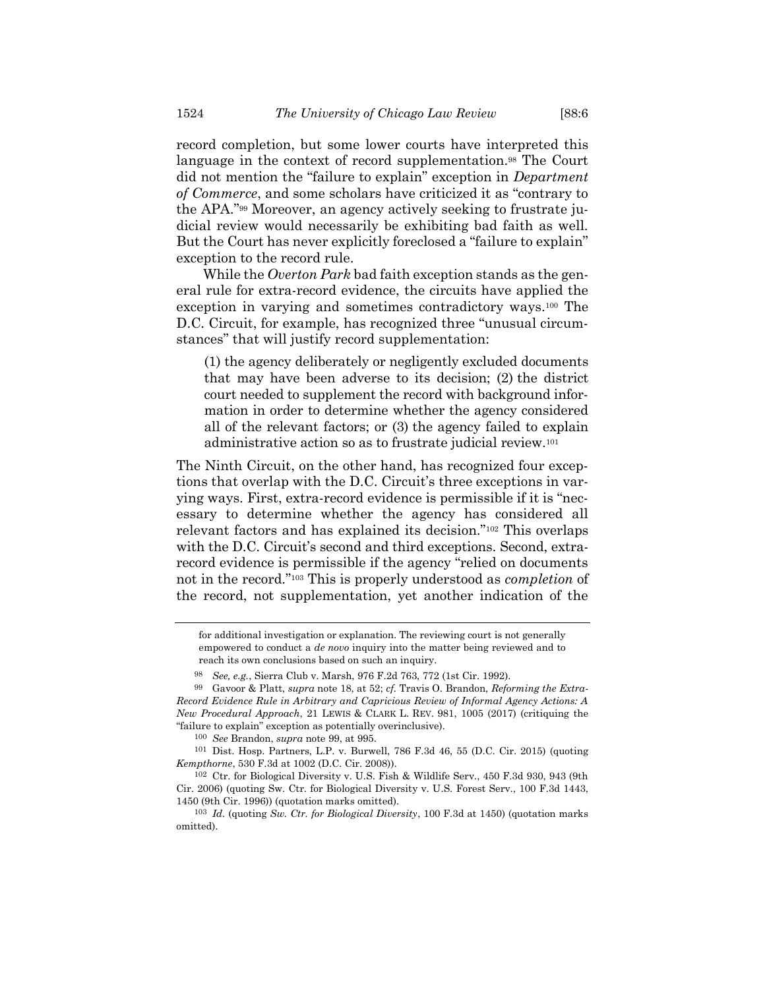<span id="page-13-0"></span>record completion, but some lower courts have interpreted this language in the context of record supplementation.<sup>98</sup> The Court did not mention the "failure to explain" exception in *Department of Commerce*, and some scholars have criticized it as "contrary to the APA."<sup>99</sup> Moreover, an agency actively seeking to frustrate judicial review would necessarily be exhibiting bad faith as well. But the Court has never explicitly foreclosed a "failure to explain" exception to the record rule.

While the *Overton Park* bad faith exception stands as the general rule for extra-record evidence, the circuits have applied the exception in varying and sometimes contradictory ways.<sup>100</sup> The D.C. Circuit, for example, has recognized three "unusual circumstances" that will justify record supplementation:

(1) the agency deliberately or negligently excluded documents that may have been adverse to its decision; (2) the district court needed to supplement the record with background information in order to determine whether the agency considered all of the relevant factors; or (3) the agency failed to explain administrative action so as to frustrate judicial review.<sup>101</sup>

The Ninth Circuit, on the other hand, has recognized four exceptions that overlap with the D.C. Circuit's three exceptions in varying ways. First, extra-record evidence is permissible if it is "necessary to determine whether the agency has considered all relevant factors and has explained its decision."<sup>102</sup> This overlaps with the D.C. Circuit's second and third exceptions. Second, extrarecord evidence is permissible if the agency "relied on documents not in the record."<sup>103</sup> This is properly understood as *completion* of the record, not supplementation, yet another indication of the

<span id="page-13-1"></span>for additional investigation or explanation. The reviewing court is not generally empowered to conduct a *de novo* inquiry into the matter being reviewed and to reach its own conclusions based on such an inquiry.

<sup>98</sup> *See, e.g.*, Sierra Club v. Marsh, 976 F.2d 763, 772 (1st Cir. 1992).

<sup>99</sup> Gavoor & Platt, *supra* not[e 18,](#page-2-0) at 52; *cf.* Travis O. Brandon, *Reforming the Extra-Record Evidence Rule in Arbitrary and Capricious Review of Informal Agency Actions: A New Procedural Approach*, 21 LEWIS & CLARK L. REV. 981, 1005 (2017) (critiquing the "failure to explain" exception as potentially overinclusive).

<sup>100</sup> *See* Brandon, *supra* note [99,](#page-13-0) at 995.

<sup>101</sup> Dist. Hosp. Partners, L.P. v. Burwell, 786 F.3d 46, 55 (D.C. Cir. 2015) (quoting *Kempthorne*, 530 F.3d at 1002 (D.C. Cir. 2008)).

<sup>102</sup> Ctr. for Biological Diversity v. U.S. Fish & Wildlife Serv., 450 F.3d 930, 943 (9th Cir. 2006) (quoting Sw. Ctr. for Biological Diversity v. U.S. Forest Serv., 100 F.3d 1443, 1450 (9th Cir. 1996)) (quotation marks omitted).

<sup>103</sup> *Id.* (quoting *Sw. Ctr. for Biological Diversity*, 100 F.3d at 1450) (quotation marks omitted).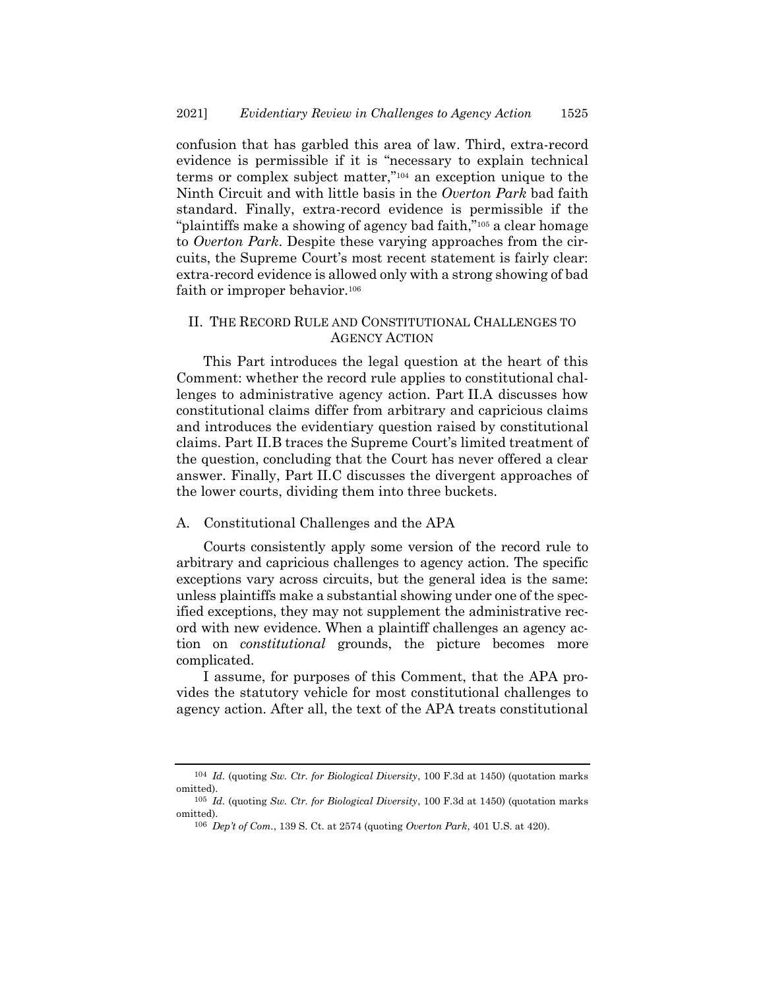confusion that has garbled this area of law. Third, extra-record evidence is permissible if it is "necessary to explain technical terms or complex subject matter,"<sup>104</sup> an exception unique to the Ninth Circuit and with little basis in the *Overton Park* bad faith standard. Finally, extra-record evidence is permissible if the "plaintiffs make a showing of agency bad faith,"<sup>105</sup> a clear homage to *Overton Park*. Despite these varying approaches from the circuits, the Supreme Court's most recent statement is fairly clear: extra-record evidence is allowed only with a strong showing of bad faith or improper behavior.<sup>106</sup>

# II. THE RECORD RULE AND CONSTITUTIONAL CHALLENGES TO AGENCY ACTION

This Part introduces the legal question at the heart of this Comment: whether the record rule applies to constitutional challenges to administrative agency action. Part II.A discusses how constitutional claims differ from arbitrary and capricious claims and introduces the evidentiary question raised by constitutional claims. Part II.B traces the Supreme Court's limited treatment of the question, concluding that the Court has never offered a clear answer. Finally, Part II.C discusses the divergent approaches of the lower courts, dividing them into three buckets.

# A. Constitutional Challenges and the APA

Courts consistently apply some version of the record rule to arbitrary and capricious challenges to agency action. The specific exceptions vary across circuits, but the general idea is the same: unless plaintiffs make a substantial showing under one of the specified exceptions, they may not supplement the administrative record with new evidence. When a plaintiff challenges an agency action on *constitutional* grounds, the picture becomes more complicated.

I assume, for purposes of this Comment, that the APA provides the statutory vehicle for most constitutional challenges to agency action. After all, the text of the APA treats constitutional

<sup>104</sup> *Id.* (quoting *Sw. Ctr. for Biological Diversity*, 100 F.3d at 1450) (quotation marks omitted).

<sup>105</sup> *Id.* (quoting *Sw. Ctr. for Biological Diversity*, 100 F.3d at 1450) (quotation marks omitted).

<sup>106</sup> *Dep't of Com.*, 139 S. Ct. at 2574 (quoting *Overton Park*, 401 U.S. at 420).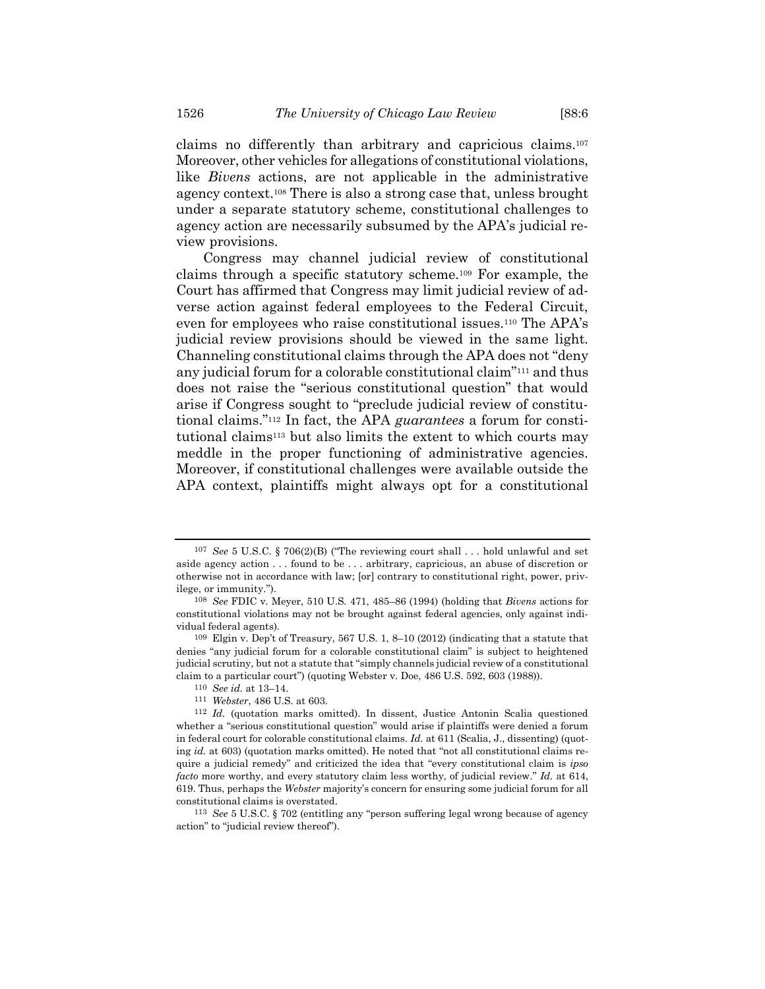claims no differently than arbitrary and capricious claims.<sup>107</sup> Moreover, other vehicles for allegations of constitutional violations, like *Bivens* actions, are not applicable in the administrative agency context.<sup>108</sup> There is also a strong case that, unless brought under a separate statutory scheme, constitutional challenges to agency action are necessarily subsumed by the APA's judicial review provisions.

Congress may channel judicial review of constitutional claims through a specific statutory scheme.<sup>109</sup> For example, the Court has affirmed that Congress may limit judicial review of adverse action against federal employees to the Federal Circuit, even for employees who raise constitutional issues.<sup>110</sup> The APA's judicial review provisions should be viewed in the same light. Channeling constitutional claims through the APA does not "deny any judicial forum for a colorable constitutional claim"<sup>111</sup> and thus does not raise the "serious constitutional question" that would arise if Congress sought to "preclude judicial review of constitutional claims."<sup>112</sup> In fact, the APA *guarantees* a forum for constitutional claims<sup>113</sup> but also limits the extent to which courts may meddle in the proper functioning of administrative agencies. Moreover, if constitutional challenges were available outside the APA context, plaintiffs might always opt for a constitutional

<sup>107</sup> *See* 5 U.S.C. § 706(2)(B) ("The reviewing court shall . . . hold unlawful and set aside agency action . . . found to be . . . arbitrary, capricious, an abuse of discretion or otherwise not in accordance with law; [or] contrary to constitutional right, power, privilege, or immunity.").

<sup>108</sup> *See* FDIC v. Meyer, 510 U.S. 471, 485–86 (1994) (holding that *Bivens* actions for constitutional violations may not be brought against federal agencies, only against individual federal agents).

<sup>109</sup> Elgin v. Dep't of Treasury, 567 U.S. 1, 8–10 (2012) (indicating that a statute that denies "any judicial forum for a colorable constitutional claim" is subject to heightened judicial scrutiny, but not a statute that "simply channels judicial review of a constitutional claim to a particular court") (quoting Webster v. Doe, 486 U.S. 592, 603 (1988)).

<sup>110</sup> *See id.* at 13–14.

<sup>111</sup> *Webster*, 486 U.S. at 603.

<sup>112</sup> *Id.* (quotation marks omitted). In dissent, Justice Antonin Scalia questioned whether a "serious constitutional question" would arise if plaintiffs were denied a forum in federal court for colorable constitutional claims. *Id.* at 611 (Scalia, J., dissenting) (quoting *id.* at 603) (quotation marks omitted). He noted that "not all constitutional claims require a judicial remedy" and criticized the idea that "every constitutional claim is *ipso facto* more worthy, and every statutory claim less worthy, of judicial review." *Id.* at 614, 619. Thus, perhaps the *Webster* majority's concern for ensuring some judicial forum for all constitutional claims is overstated.

<sup>113</sup> *See* 5 U.S.C. § 702 (entitling any "person suffering legal wrong because of agency action" to "judicial review thereof").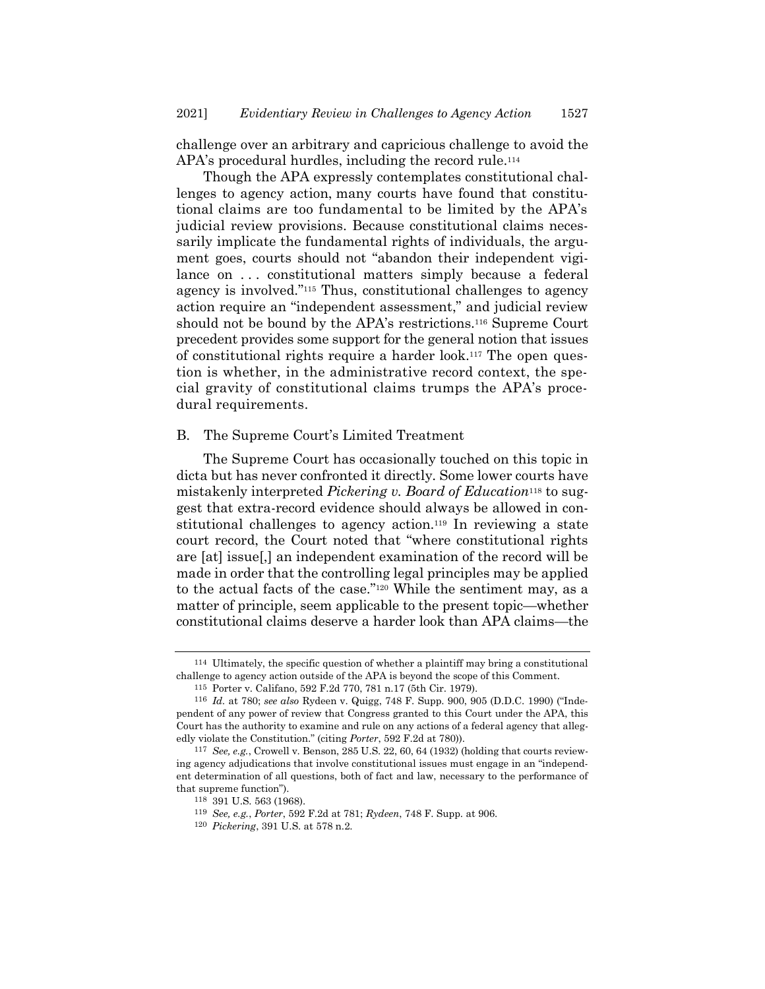challenge over an arbitrary and capricious challenge to avoid the APA's procedural hurdles, including the record rule.<sup>114</sup>

Though the APA expressly contemplates constitutional challenges to agency action, many courts have found that constitutional claims are too fundamental to be limited by the APA's judicial review provisions. Because constitutional claims necessarily implicate the fundamental rights of individuals, the argument goes, courts should not "abandon their independent vigilance on ... constitutional matters simply because a federal agency is involved."<sup>115</sup> Thus, constitutional challenges to agency action require an "independent assessment," and judicial review should not be bound by the APA's restrictions.<sup>116</sup> Supreme Court precedent provides some support for the general notion that issues of constitutional rights require a harder look.<sup>117</sup> The open question is whether, in the administrative record context, the special gravity of constitutional claims trumps the APA's procedural requirements.

## B. The Supreme Court's Limited Treatment

The Supreme Court has occasionally touched on this topic in dicta but has never confronted it directly. Some lower courts have mistakenly interpreted *Pickering v. Board of Education*<sup>118</sup> to suggest that extra-record evidence should always be allowed in constitutional challenges to agency action.<sup>119</sup> In reviewing a state court record, the Court noted that "where constitutional rights are [at] issue[,] an independent examination of the record will be made in order that the controlling legal principles may be applied to the actual facts of the case."<sup>120</sup> While the sentiment may, as a matter of principle, seem applicable to the present topic—whether constitutional claims deserve a harder look than APA claims—the

<sup>114</sup> Ultimately, the specific question of whether a plaintiff may bring a constitutional challenge to agency action outside of the APA is beyond the scope of this Comment.

<sup>115</sup> Porter v. Califano, 592 F.2d 770, 781 n.17 (5th Cir. 1979).

<sup>116</sup> *Id.* at 780; *see also* Rydeen v. Quigg, 748 F. Supp. 900, 905 (D.D.C. 1990) ("Independent of any power of review that Congress granted to this Court under the APA, this Court has the authority to examine and rule on any actions of a federal agency that allegedly violate the Constitution." (citing *Porter*, 592 F.2d at 780)).

<sup>117</sup> *See, e.g.*, Crowell v. Benson, 285 U.S. 22, 60, 64 (1932) (holding that courts reviewing agency adjudications that involve constitutional issues must engage in an "independent determination of all questions, both of fact and law, necessary to the performance of that supreme function").

<sup>118</sup> 391 U.S. 563 (1968).

<sup>119</sup> *See, e.g.*, *Porter*, 592 F.2d at 781; *Rydeen*, 748 F. Supp. at 906.

<sup>120</sup> *Pickering*, 391 U.S. at 578 n.2.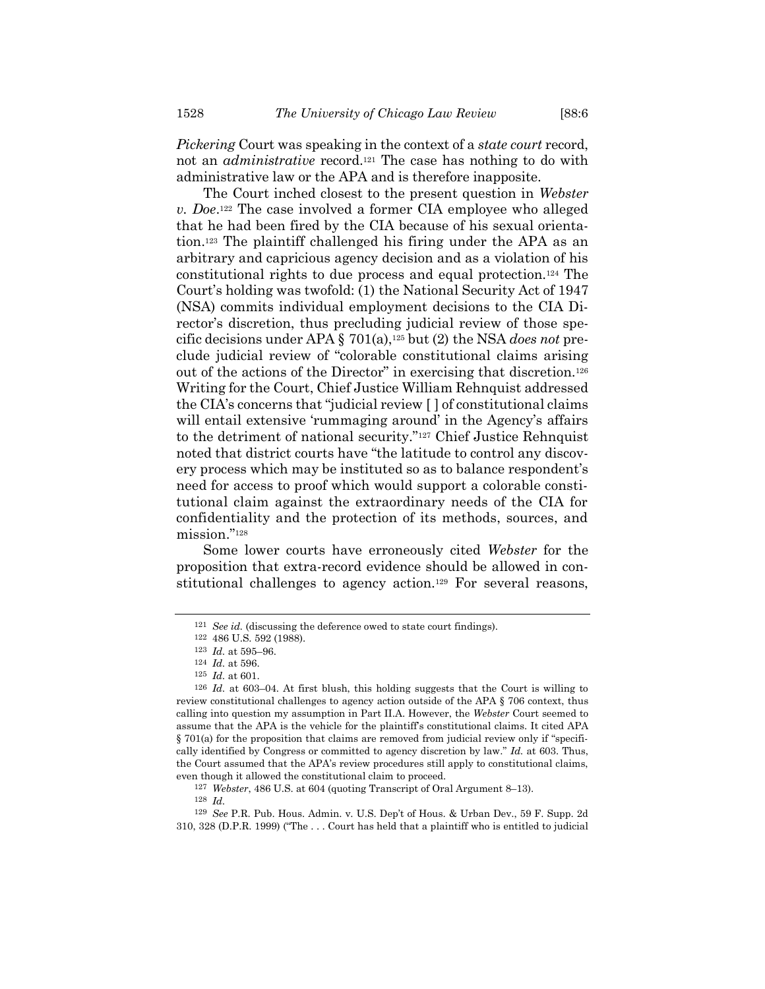*Pickering* Court was speaking in the context of a *state court* record, not an *administrative* record.<sup>121</sup> The case has nothing to do with administrative law or the APA and is therefore inapposite.

The Court inched closest to the present question in *Webster*  v. Doe.<sup>122</sup> The case involved a former CIA employee who alleged that he had been fired by the CIA because of his sexual orientation.<sup>123</sup> The plaintiff challenged his firing under the APA as an arbitrary and capricious agency decision and as a violation of his constitutional rights to due process and equal protection.<sup>124</sup> The Court's holding was twofold: (1) the National Security Act of 1947 (NSA) commits individual employment decisions to the CIA Director's discretion, thus precluding judicial review of those specific decisions under APA § 701(a),<sup>125</sup> but (2) the NSA *does not* preclude judicial review of "colorable constitutional claims arising out of the actions of the Director" in exercising that discretion.<sup>126</sup> Writing for the Court, Chief Justice William Rehnquist addressed the CIA's concerns that "judicial review [ ] of constitutional claims will entail extensive 'rummaging around' in the Agency's affairs to the detriment of national security."<sup>127</sup> Chief Justice Rehnquist noted that district courts have "the latitude to control any discovery process which may be instituted so as to balance respondent's need for access to proof which would support a colorable constitutional claim against the extraordinary needs of the CIA for confidentiality and the protection of its methods, sources, and mission."<sup>128</sup>

Some lower courts have erroneously cited *Webster* for the proposition that extra-record evidence should be allowed in constitutional challenges to agency action.<sup>129</sup> For several reasons,

127 *Webster*, 486 U.S. at 604 (quoting Transcript of Oral Argument 8–13).

<sup>121</sup> *See id.* (discussing the deference owed to state court findings).

<sup>122</sup> 486 U.S. 592 (1988).

<sup>123</sup> *Id.* at 595–96.

<sup>124</sup> *Id.* at 596.

<sup>125</sup> *Id.* at 601.

<sup>126</sup> *Id.* at 603–04. At first blush, this holding suggests that the Court is willing to review constitutional challenges to agency action outside of the APA § 706 context, thus calling into question my assumption in Part II.A. However, the *Webster* Court seemed to assume that the APA is the vehicle for the plaintiff's constitutional claims. It cited APA § 701(a) for the proposition that claims are removed from judicial review only if "specifically identified by Congress or committed to agency discretion by law." *Id.* at 603. Thus, the Court assumed that the APA's review procedures still apply to constitutional claims, even though it allowed the constitutional claim to proceed.

<sup>128</sup> *Id.*

<sup>129</sup> *See* P.R. Pub. Hous. Admin. v. U.S. Dep't of Hous. & Urban Dev., 59 F. Supp. 2d 310, 328 (D.P.R. 1999) ("The . . . Court has held that a plaintiff who is entitled to judicial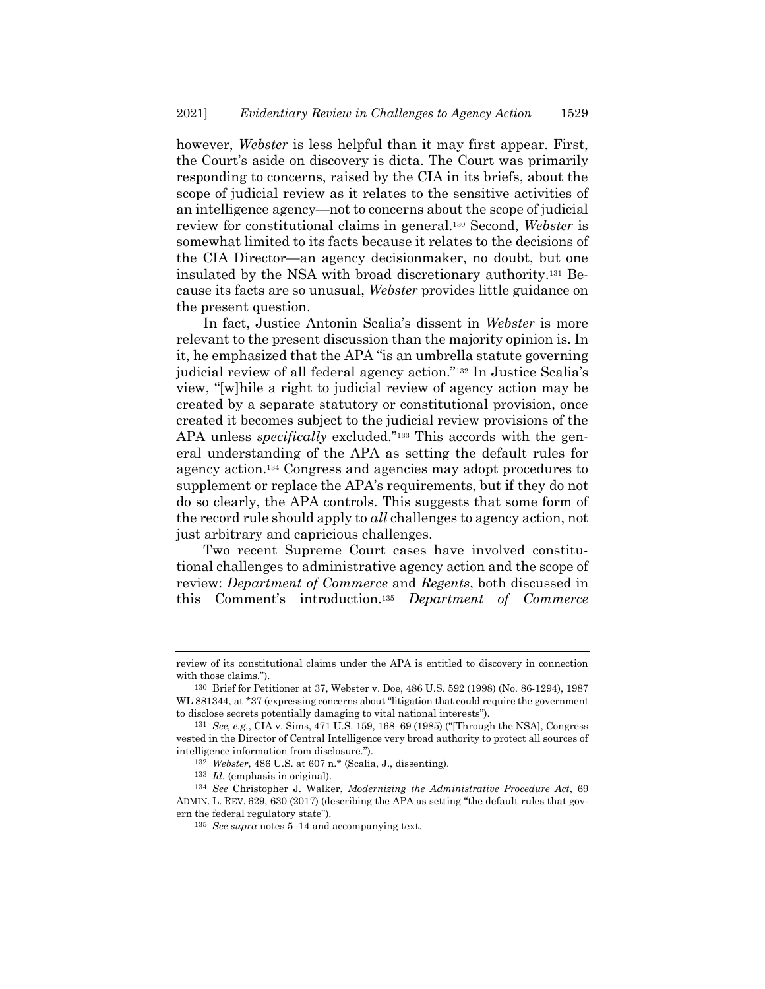however, *Webster* is less helpful than it may first appear. First, the Court's aside on discovery is dicta. The Court was primarily responding to concerns, raised by the CIA in its briefs, about the scope of judicial review as it relates to the sensitive activities of an intelligence agency—not to concerns about the scope of judicial review for constitutional claims in general.<sup>130</sup> Second, *Webster* is somewhat limited to its facts because it relates to the decisions of the CIA Director—an agency decisionmaker, no doubt, but one insulated by the NSA with broad discretionary authority.<sup>131</sup> Because its facts are so unusual, *Webster* provides little guidance on the present question.

In fact, Justice Antonin Scalia's dissent in *Webster* is more relevant to the present discussion than the majority opinion is. In it, he emphasized that the APA "is an umbrella statute governing judicial review of all federal agency action."<sup>132</sup> In Justice Scalia's view, "[w]hile a right to judicial review of agency action may be created by a separate statutory or constitutional provision, once created it becomes subject to the judicial review provisions of the APA unless *specifically* excluded."<sup>133</sup> This accords with the general understanding of the APA as setting the default rules for agency action.<sup>134</sup> Congress and agencies may adopt procedures to supplement or replace the APA's requirements, but if they do not do so clearly, the APA controls. This suggests that some form of the record rule should apply to *all* challenges to agency action, not just arbitrary and capricious challenges.

Two recent Supreme Court cases have involved constitutional challenges to administrative agency action and the scope of review: *Department of Commerce* and *Regents*, both discussed in this Comment's introduction.<sup>135</sup> *Department of Commerce*

review of its constitutional claims under the APA is entitled to discovery in connection with those claims.").

<sup>130</sup> Brief for Petitioner at 37, Webster v. Doe, 486 U.S. 592 (1998) (No. 86-1294), 1987 WL 881344, at \*37 (expressing concerns about "litigation that could require the government" to disclose secrets potentially damaging to vital national interests").

<sup>131</sup> *See, e.g.*, CIA v. Sims, 471 U.S. 159, 168–69 (1985) ("[Through the NSA], Congress vested in the Director of Central Intelligence very broad authority to protect all sources of intelligence information from disclosure.").

<sup>132</sup> *Webster*, 486 U.S. at 607 n.\* (Scalia, J., dissenting).

<sup>133</sup> *Id.* (emphasis in original).

<sup>134</sup> *See* Christopher J. Walker, *Modernizing the Administrative Procedure Act*, 69 ADMIN. L. REV. 629, 630 (2017) (describing the APA as setting "the default rules that govern the federal regulatory state").

<sup>135</sup> *See supra* notes [5](#page-1-0)–[14](#page-2-1) and accompanying text.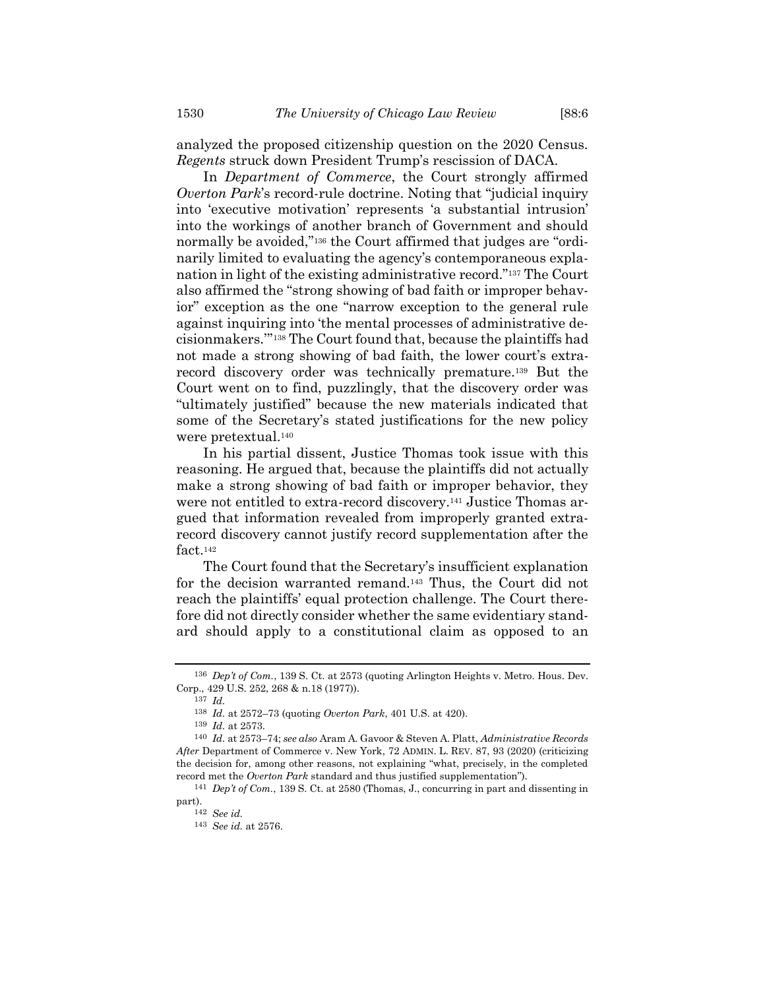analyzed the proposed citizenship question on the 2020 Census. *Regents* struck down President Trump's rescission of DACA.

In *Department of Commerce*, the Court strongly affirmed *Overton Park*'s record-rule doctrine. Noting that "judicial inquiry into 'executive motivation' represents 'a substantial intrusion' into the workings of another branch of Government and should normally be avoided,"<sup>136</sup> the Court affirmed that judges are "ordinarily limited to evaluating the agency's contemporaneous explanation in light of the existing administrative record."<sup>137</sup> The Court also affirmed the "strong showing of bad faith or improper behavior" exception as the one "narrow exception to the general rule against inquiring into 'the mental processes of administrative decisionmakers.'" <sup>138</sup> The Court found that, because the plaintiffs had not made a strong showing of bad faith, the lower court's extrarecord discovery order was technically premature.<sup>139</sup> But the Court went on to find, puzzlingly, that the discovery order was "ultimately justified" because the new materials indicated that some of the Secretary's stated justifications for the new policy were pretextual.<sup>140</sup>

In his partial dissent, Justice Thomas took issue with this reasoning. He argued that, because the plaintiffs did not actually make a strong showing of bad faith or improper behavior, they were not entitled to extra-record discovery.<sup>141</sup> Justice Thomas argued that information revealed from improperly granted extrarecord discovery cannot justify record supplementation after the fact.<sup>142</sup>

The Court found that the Secretary's insufficient explanation for the decision warranted remand.<sup>143</sup> Thus, the Court did not reach the plaintiffs' equal protection challenge. The Court therefore did not directly consider whether the same evidentiary standard should apply to a constitutional claim as opposed to an

<sup>136</sup> *Dep't of Com.*, 139 S. Ct. at 2573 (quoting Arlington Heights v. Metro. Hous. Dev. Corp., 429 U.S. 252, 268 & n.18 (1977)).

<sup>137</sup> *Id.*

<sup>138</sup> *Id.* at 2572–73 (quoting *Overton Park*, 401 U.S. at 420).

<sup>139</sup> *Id.* at 2573.

<sup>140</sup> *Id.* at 2573–74; *see also* Aram A. Gavoor & Steven A. Platt, *Administrative Records After* Department of Commerce v. New York, 72 ADMIN. L. REV. 87, 93 (2020) (criticizing the decision for, among other reasons, not explaining "what, precisely, in the completed record met the *Overton Park* standard and thus justified supplementation").

<sup>141</sup> *Dep't of Com.*, 139 S. Ct. at 2580 (Thomas, J., concurring in part and dissenting in part).

<sup>142</sup> *See id.*

<sup>143</sup> *See id.* at 2576.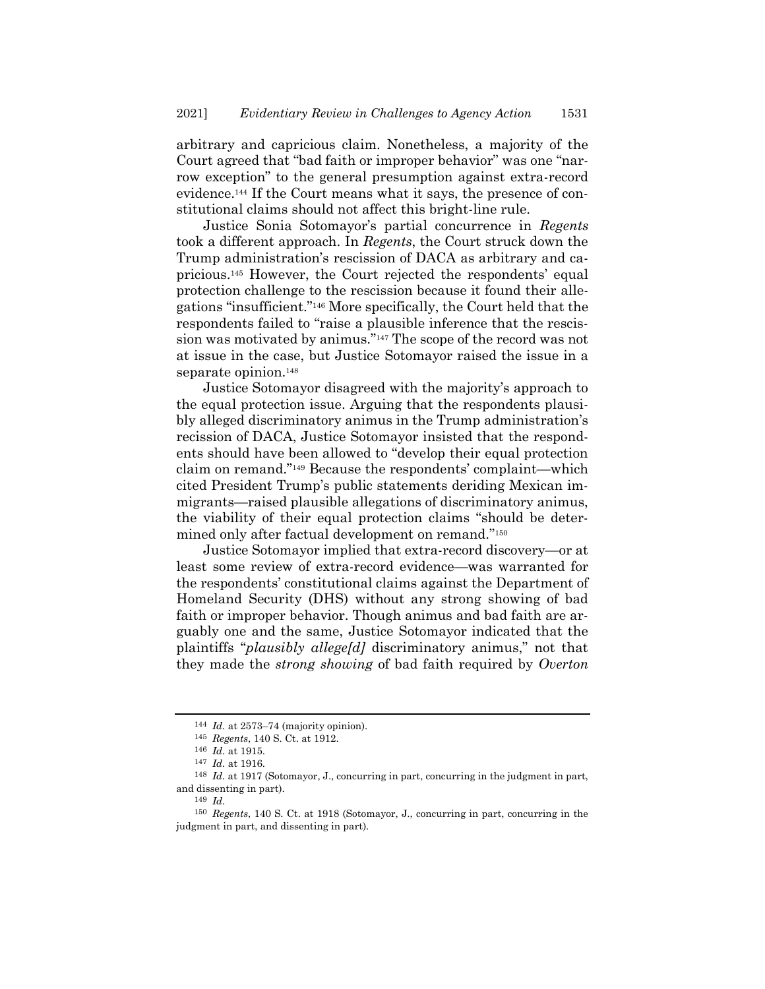arbitrary and capricious claim. Nonetheless, a majority of the Court agreed that "bad faith or improper behavior" was one "narrow exception" to the general presumption against extra-record evidence.<sup>144</sup> If the Court means what it says, the presence of constitutional claims should not affect this bright-line rule.

Justice Sonia Sotomayor's partial concurrence in *Regents* took a different approach. In *Regents*, the Court struck down the Trump administration's rescission of DACA as arbitrary and capricious.<sup>145</sup> However, the Court rejected the respondents' equal protection challenge to the rescission because it found their allegations "insufficient."<sup>146</sup> More specifically, the Court held that the respondents failed to "raise a plausible inference that the rescission was motivated by animus."<sup>147</sup> The scope of the record was not at issue in the case, but Justice Sotomayor raised the issue in a separate opinion.<sup>148</sup>

Justice Sotomayor disagreed with the majority's approach to the equal protection issue. Arguing that the respondents plausibly alleged discriminatory animus in the Trump administration's recission of DACA, Justice Sotomayor insisted that the respondents should have been allowed to "develop their equal protection claim on remand."<sup>149</sup> Because the respondents' complaint—which cited President Trump's public statements deriding Mexican immigrants—raised plausible allegations of discriminatory animus, the viability of their equal protection claims "should be determined only after factual development on remand."<sup>150</sup>

Justice Sotomayor implied that extra-record discovery—or at least some review of extra-record evidence—was warranted for the respondents' constitutional claims against the Department of Homeland Security (DHS) without any strong showing of bad faith or improper behavior. Though animus and bad faith are arguably one and the same, Justice Sotomayor indicated that the plaintiffs "*plausibly allege[d]* discriminatory animus," not that they made the *strong showing* of bad faith required by *Overton* 

<sup>144</sup> *Id.* at 2573–74 (majority opinion).

<sup>145</sup> *Regents*, 140 S. Ct. at 1912.

<sup>146</sup> *Id.* at 1915.

<sup>147</sup> *Id.* at 1916.

<sup>148</sup> *Id.* at 1917 (Sotomayor, J., concurring in part, concurring in the judgment in part, and dissenting in part).

<sup>149</sup> *Id.*

<sup>150</sup> *Regents*, 140 S. Ct. at 1918 (Sotomayor, J., concurring in part, concurring in the judgment in part, and dissenting in part).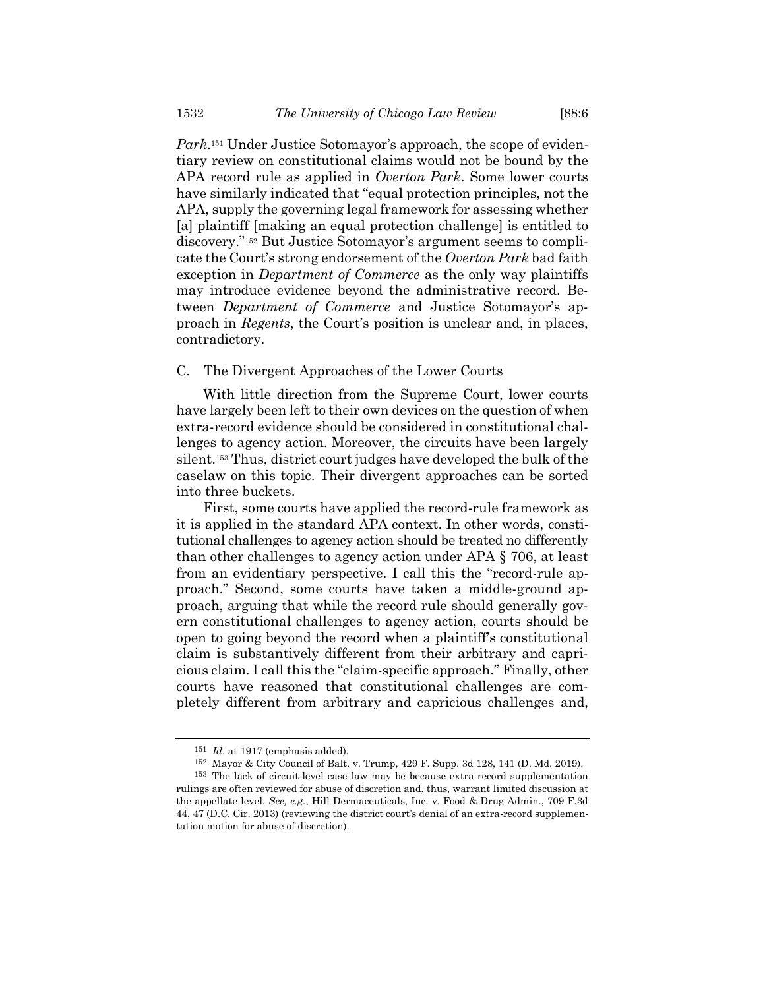Park.<sup>151</sup> Under Justice Sotomayor's approach, the scope of evidentiary review on constitutional claims would not be bound by the APA record rule as applied in *Overton Park*. Some lower courts have similarly indicated that "equal protection principles, not the APA, supply the governing legal framework for assessing whether [a] plaintiff [making an equal protection challenge] is entitled to discovery."<sup>152</sup> But Justice Sotomayor's argument seems to complicate the Court's strong endorsement of the *Overton Park* bad faith exception in *Department of Commerce* as the only way plaintiffs may introduce evidence beyond the administrative record. Between *Department of Commerce* and Justice Sotomayor's approach in *Regents*, the Court's position is unclear and, in places, contradictory.

## C. The Divergent Approaches of the Lower Courts

With little direction from the Supreme Court, lower courts have largely been left to their own devices on the question of when extra-record evidence should be considered in constitutional challenges to agency action. Moreover, the circuits have been largely silent.<sup>153</sup> Thus, district court judges have developed the bulk of the caselaw on this topic. Their divergent approaches can be sorted into three buckets.

First, some courts have applied the record-rule framework as it is applied in the standard APA context. In other words, constitutional challenges to agency action should be treated no differently than other challenges to agency action under APA § 706, at least from an evidentiary perspective. I call this the "record-rule approach." Second, some courts have taken a middle-ground approach, arguing that while the record rule should generally govern constitutional challenges to agency action, courts should be open to going beyond the record when a plaintiff's constitutional claim is substantively different from their arbitrary and capricious claim. I call this the "claim-specific approach." Finally, other courts have reasoned that constitutional challenges are completely different from arbitrary and capricious challenges and,

<sup>151</sup> *Id.* at 1917 (emphasis added).

<sup>152</sup> Mayor & City Council of Balt. v. Trump, 429 F. Supp. 3d 128, 141 (D. Md. 2019).

<sup>153</sup> The lack of circuit-level case law may be because extra-record supplementation rulings are often reviewed for abuse of discretion and, thus, warrant limited discussion at the appellate level. *See, e.g.*, Hill Dermaceuticals, Inc. v. Food & Drug Admin., 709 F.3d 44, 47 (D.C. Cir. 2013) (reviewing the district court's denial of an extra-record supplementation motion for abuse of discretion).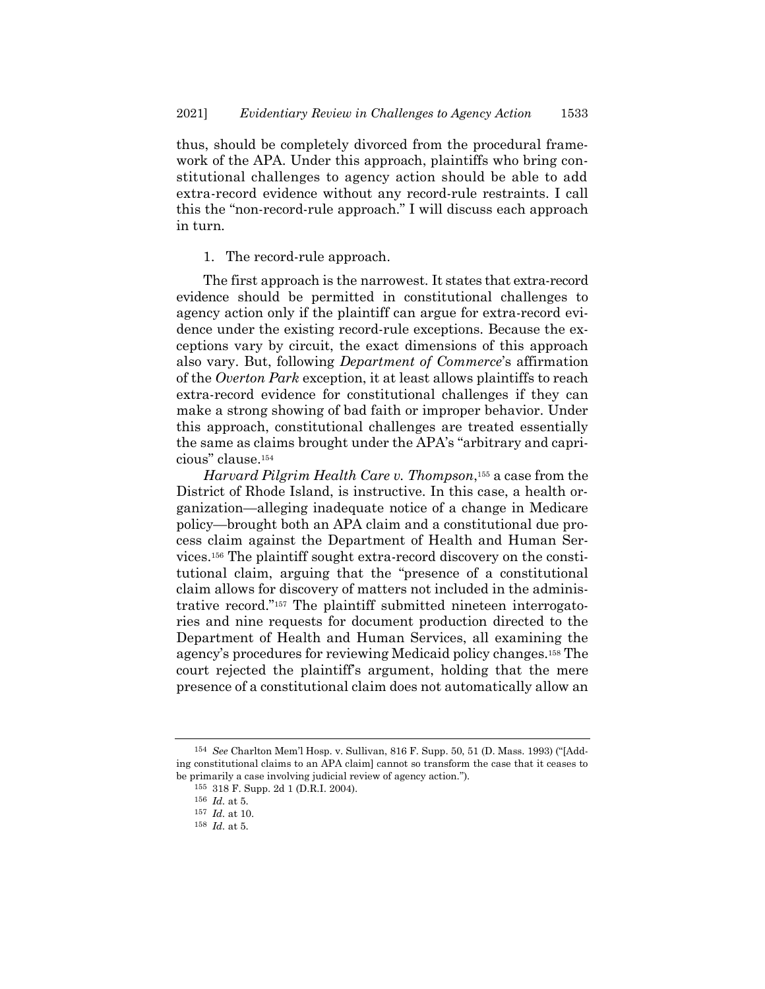thus, should be completely divorced from the procedural framework of the APA. Under this approach, plaintiffs who bring constitutional challenges to agency action should be able to add extra-record evidence without any record-rule restraints. I call this the "non-record-rule approach." I will discuss each approach in turn.

1. The record-rule approach.

The first approach is the narrowest. It states that extra-record evidence should be permitted in constitutional challenges to agency action only if the plaintiff can argue for extra-record evidence under the existing record-rule exceptions. Because the exceptions vary by circuit, the exact dimensions of this approach also vary. But, following *Department of Commerce*'s affirmation of the *Overton Park* exception, it at least allows plaintiffs to reach extra-record evidence for constitutional challenges if they can make a strong showing of bad faith or improper behavior. Under this approach, constitutional challenges are treated essentially the same as claims brought under the APA's "arbitrary and capricious" clause. 154

*Harvard Pilgrim Health Care v. Thompson*, <sup>155</sup> a case from the District of Rhode Island, is instructive. In this case, a health organization—alleging inadequate notice of a change in Medicare policy—brought both an APA claim and a constitutional due process claim against the Department of Health and Human Services. <sup>156</sup> The plaintiff sought extra-record discovery on the constitutional claim, arguing that the "presence of a constitutional claim allows for discovery of matters not included in the administrative record."<sup>157</sup> The plaintiff submitted nineteen interrogatories and nine requests for document production directed to the Department of Health and Human Services, all examining the agency's procedures for reviewing Medicaid policy changes.<sup>158</sup> The court rejected the plaintiff's argument, holding that the mere presence of a constitutional claim does not automatically allow an

<sup>154</sup> *See* Charlton Mem'l Hosp. v. Sullivan, 816 F. Supp. 50, 51 (D. Mass. 1993) ("[Adding constitutional claims to an APA claim] cannot so transform the case that it ceases to be primarily a case involving judicial review of agency action.").

<sup>155</sup> 318 F. Supp. 2d 1 (D.R.I. 2004).

<sup>156</sup> *Id.* at 5.

<sup>157</sup> *Id.* at 10.

<sup>158</sup> *Id.* at 5.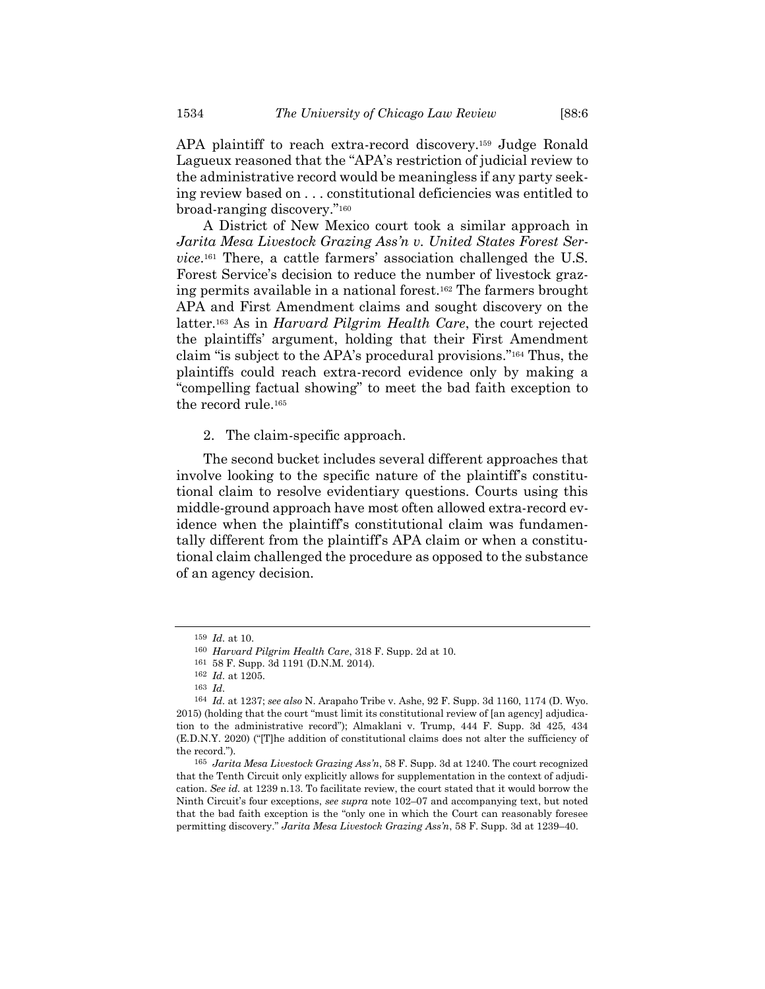APA plaintiff to reach extra-record discovery.<sup>159</sup> Judge Ronald Lagueux reasoned that the "APA's restriction of judicial review to the administrative record would be meaningless if any party seeking review based on . . . constitutional deficiencies was entitled to broad-ranging discovery."<sup>160</sup>

A District of New Mexico court took a similar approach in *Jarita Mesa Livestock Grazing Ass'n v. United States Forest Service*. <sup>161</sup> There, a cattle farmers' association challenged the U.S. Forest Service's decision to reduce the number of livestock grazing permits available in a national forest.<sup>162</sup> The farmers brought APA and First Amendment claims and sought discovery on the latter.<sup>163</sup> As in *Harvard Pilgrim Health Care*, the court rejected the plaintiffs' argument, holding that their First Amendment claim "is subject to the APA's procedural provisions."<sup>164</sup> Thus, the plaintiffs could reach extra-record evidence only by making a "compelling factual showing" to meet the bad faith exception to the record rule.<sup>165</sup>

2. The claim-specific approach.

The second bucket includes several different approaches that involve looking to the specific nature of the plaintiff's constitutional claim to resolve evidentiary questions. Courts using this middle-ground approach have most often allowed extra-record evidence when the plaintiff's constitutional claim was fundamentally different from the plaintiff's APA claim or when a constitutional claim challenged the procedure as opposed to the substance of an agency decision.

<sup>159</sup> *Id.* at 10.

<sup>160</sup> *Harvard Pilgrim Health Care*, 318 F. Supp. 2d at 10.

<sup>161</sup> 58 F. Supp. 3d 1191 (D.N.M. 2014).

<sup>162</sup> *Id.* at 1205.

<sup>163</sup> *Id.*

<sup>164</sup> *Id.* at 1237; *see also* N. Arapaho Tribe v. Ashe, 92 F. Supp. 3d 1160, 1174 (D. Wyo. 2015) (holding that the court "must limit its constitutional review of [an agency] adjudication to the administrative record"); Almaklani v. Trump, 444 F. Supp. 3d 425, 434 (E.D.N.Y. 2020) ("[T]he addition of constitutional claims does not alter the sufficiency of the record.").

<sup>165</sup> *Jarita Mesa Livestock Grazing Ass'n*, 58 F. Supp. 3d at 1240. The court recognized that the Tenth Circuit only explicitly allows for supplementation in the context of adjudication. *See id.* at 1239 n.13. To facilitate review, the court stated that it would borrow the Ninth Circuit's four exceptions, *see supra* not[e 102](#page-13-1)–07 and accompanying text, but noted that the bad faith exception is the "only one in which the Court can reasonably foresee permitting discovery." *Jarita Mesa Livestock Grazing Ass'n*, 58 F. Supp. 3d at 1239–40.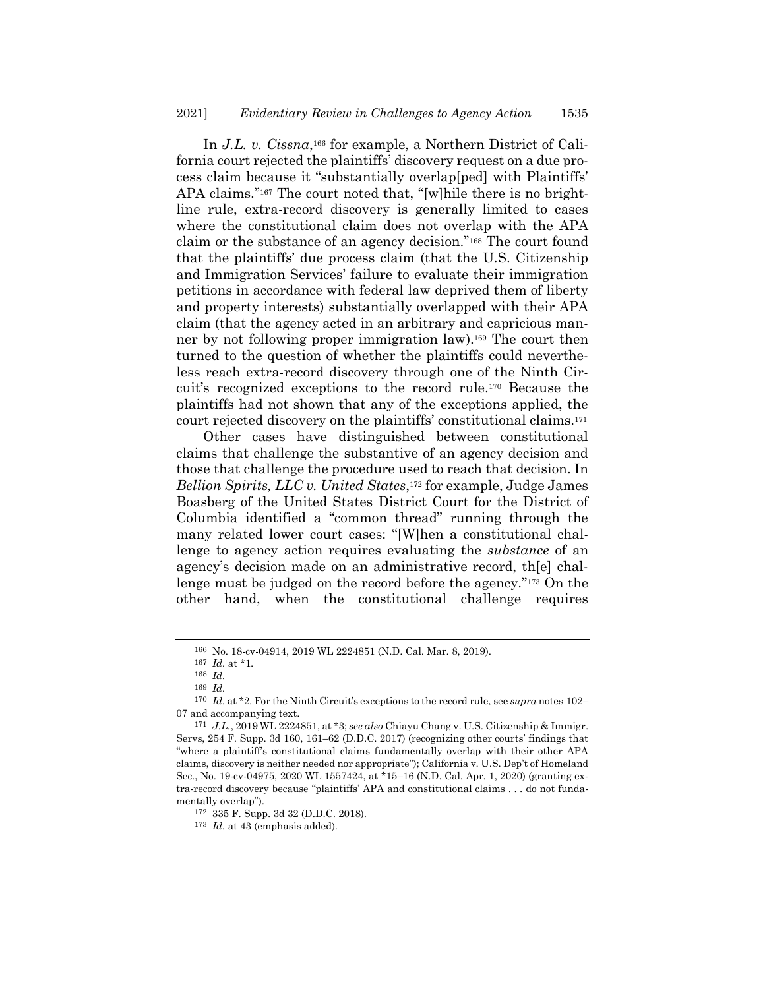<span id="page-24-1"></span>In *J.L. v. Cissna*, <sup>166</sup> for example, a Northern District of California court rejected the plaintiffs' discovery request on a due process claim because it "substantially overlap[ped] with Plaintiffs' APA claims."<sup>167</sup> The court noted that, "[w]hile there is no brightline rule, extra-record discovery is generally limited to cases where the constitutional claim does not overlap with the APA claim or the substance of an agency decision."<sup>168</sup> The court found that the plaintiffs' due process claim (that the U.S. Citizenship and Immigration Services' failure to evaluate their immigration petitions in accordance with federal law deprived them of liberty and property interests) substantially overlapped with their APA claim (that the agency acted in an arbitrary and capricious manner by not following proper immigration law). <sup>169</sup> The court then turned to the question of whether the plaintiffs could nevertheless reach extra-record discovery through one of the Ninth Circuit's recognized exceptions to the record rule.<sup>170</sup> Because the plaintiffs had not shown that any of the exceptions applied, the court rejected discovery on the plaintiffs' constitutional claims.<sup>171</sup>

<span id="page-24-0"></span>Other cases have distinguished between constitutional claims that challenge the substantive of an agency decision and those that challenge the procedure used to reach that decision. In *Bellion Spirits, LLC v. United States*, <sup>172</sup> for example, Judge James Boasberg of the United States District Court for the District of Columbia identified a "common thread" running through the many related lower court cases: "[W]hen a constitutional challenge to agency action requires evaluating the *substance* of an agency's decision made on an administrative record, th[e] challenge must be judged on the record before the agency."<sup>173</sup> On the other hand, when the constitutional challenge requires

<sup>166</sup> No. 18-cv-04914, 2019 WL 2224851 (N.D. Cal. Mar. 8, 2019).

<sup>167</sup> *Id.* at \*1.

<sup>168</sup> *Id.*

<sup>169</sup> *Id.*

<sup>170</sup> *Id.* at \*2. For the Ninth Circuit's exceptions to the record rule, see *supra* notes [102](#page-13-1)– 07 and accompanying text.

<sup>171</sup> *J.L.*, 2019 WL 2224851, at \*3; *see also* Chiayu Chang v. U.S. Citizenship & Immigr. Servs, 254 F. Supp. 3d 160, 161–62 (D.D.C. 2017) (recognizing other courts' findings that "where a plaintiff's constitutional claims fundamentally overlap with their other APA claims, discovery is neither needed nor appropriate"); California v. U.S. Dep't of Homeland Sec., No. 19-cv-04975, 2020 WL 1557424, at \*15–16 (N.D. Cal. Apr. 1, 2020) (granting extra-record discovery because "plaintiffs' APA and constitutional claims . . . do not fundamentally overlap").

<sup>172</sup> 335 F. Supp. 3d 32 (D.D.C. 2018).

<sup>173</sup> *Id.* at 43 (emphasis added).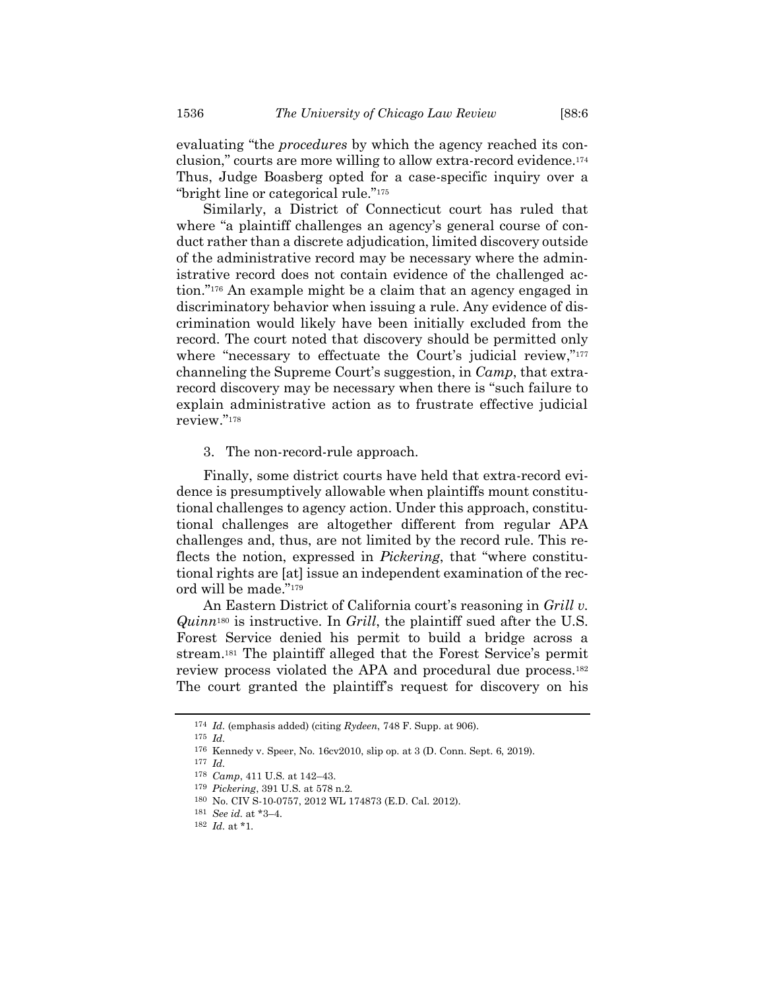evaluating "the *procedures* by which the agency reached its conclusion," courts are more willing to allow extra-record evidence.<sup>174</sup> Thus, Judge Boasberg opted for a case-specific inquiry over a "bright line or categorical rule."<sup>175</sup>

Similarly, a District of Connecticut court has ruled that where "a plaintiff challenges an agency's general course of conduct rather than a discrete adjudication, limited discovery outside of the administrative record may be necessary where the administrative record does not contain evidence of the challenged action."<sup>176</sup> An example might be a claim that an agency engaged in discriminatory behavior when issuing a rule. Any evidence of discrimination would likely have been initially excluded from the record. The court noted that discovery should be permitted only where "necessary to effectuate the Court's judicial review,"<sup>177</sup> channeling the Supreme Court's suggestion, in *Camp*, that extrarecord discovery may be necessary when there is "such failure to explain administrative action as to frustrate effective judicial review."<sup>178</sup>

3. The non-record-rule approach.

Finally, some district courts have held that extra-record evidence is presumptively allowable when plaintiffs mount constitutional challenges to agency action. Under this approach, constitutional challenges are altogether different from regular APA challenges and, thus, are not limited by the record rule. This reflects the notion, expressed in *Pickering*, that "where constitutional rights are [at] issue an independent examination of the record will be made."<sup>179</sup>

An Eastern District of California court's reasoning in *Grill v. Quinn*<sup>180</sup> is instructive. In *Grill*, the plaintiff sued after the U.S. Forest Service denied his permit to build a bridge across a stream. <sup>181</sup> The plaintiff alleged that the Forest Service's permit review process violated the APA and procedural due process.<sup>182</sup> The court granted the plaintiff's request for discovery on his

<sup>174</sup> *Id.* (emphasis added) (citing *Rydeen*, 748 F. Supp. at 906).

<sup>175</sup> *Id.*

<sup>176</sup> Kennedy v. Speer, No. 16cv2010, slip op. at 3 (D. Conn. Sept. 6, 2019).

<sup>177</sup> *Id.*

<sup>178</sup> *Camp*, 411 U.S. at 142–43.

<sup>179</sup> *Pickering*, 391 U.S. at 578 n.2.

<sup>180</sup> No. CIV S-10-0757, 2012 WL 174873 (E.D. Cal. 2012).

<sup>181</sup> *See id.* at \*3–4.

<sup>182</sup> *Id.* at \*1.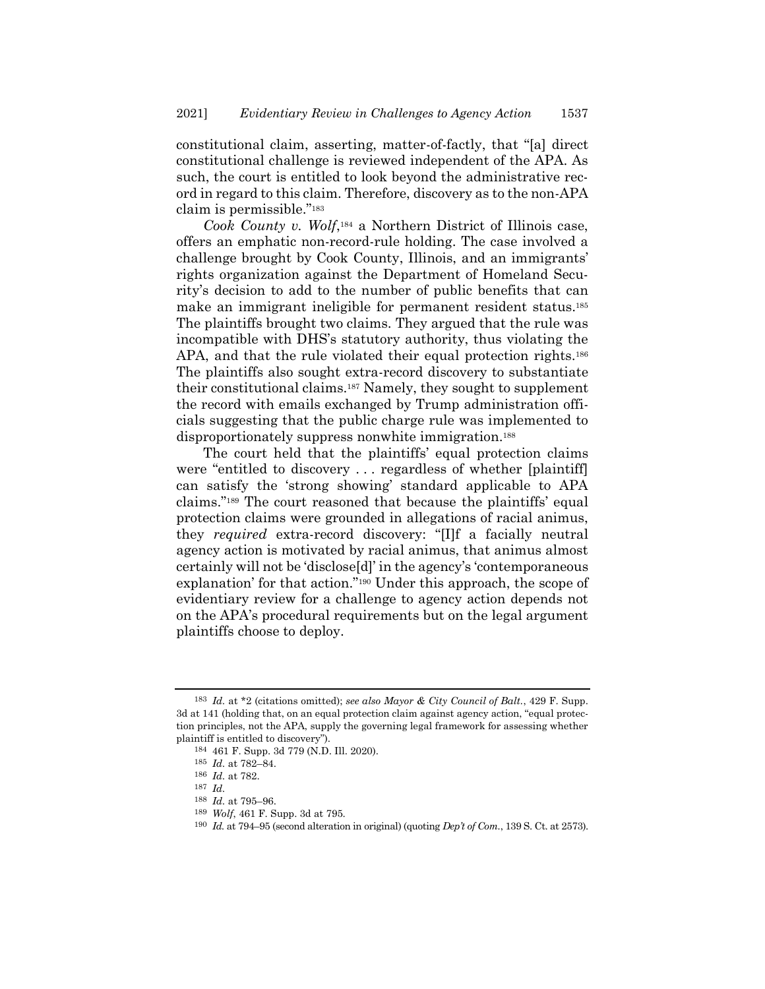constitutional claim, asserting, matter-of-factly, that "[a] direct constitutional challenge is reviewed independent of the APA. As such, the court is entitled to look beyond the administrative record in regard to this claim. Therefore, discovery as to the non-APA claim is permissible."<sup>183</sup>

*Cook County v. Wolf*, <sup>184</sup> a Northern District of Illinois case, offers an emphatic non-record-rule holding. The case involved a challenge brought by Cook County, Illinois, and an immigrants' rights organization against the Department of Homeland Security's decision to add to the number of public benefits that can make an immigrant ineligible for permanent resident status.<sup>185</sup> The plaintiffs brought two claims. They argued that the rule was incompatible with DHS's statutory authority, thus violating the APA, and that the rule violated their equal protection rights.<sup>186</sup> The plaintiffs also sought extra-record discovery to substantiate their constitutional claims.<sup>187</sup> Namely, they sought to supplement the record with emails exchanged by Trump administration officials suggesting that the public charge rule was implemented to disproportionately suppress nonwhite immigration.<sup>188</sup>

The court held that the plaintiffs' equal protection claims were "entitled to discovery . . . regardless of whether [plaintiff] can satisfy the 'strong showing' standard applicable to APA claims."<sup>189</sup> The court reasoned that because the plaintiffs' equal protection claims were grounded in allegations of racial animus, they *required* extra-record discovery: "[I]f a facially neutral agency action is motivated by racial animus, that animus almost certainly will not be 'disclose[d]' in the agency's 'contemporaneous explanation' for that action."<sup>190</sup> Under this approach, the scope of evidentiary review for a challenge to agency action depends not on the APA's procedural requirements but on the legal argument plaintiffs choose to deploy.

190 *Id.* at 794–95 (second alteration in original) (quoting *Dep't of Com.*, 139 S. Ct. at 2573).

<sup>183</sup> *Id.* at \*2 (citations omitted); *see also Mayor & City Council of Balt.*, 429 F. Supp. 3d at 141 (holding that, on an equal protection claim against agency action, "equal protection principles, not the APA, supply the governing legal framework for assessing whether plaintiff is entitled to discovery").

<sup>184</sup> 461 F. Supp. 3d 779 (N.D. Ill. 2020).

<sup>185</sup> *Id.* at 782–84.

<sup>186</sup> *Id.* at 782.

<sup>187</sup> *Id.*

<sup>188</sup> *Id.* at 795–96.

<sup>189</sup> *Wolf*, 461 F. Supp. 3d at 795.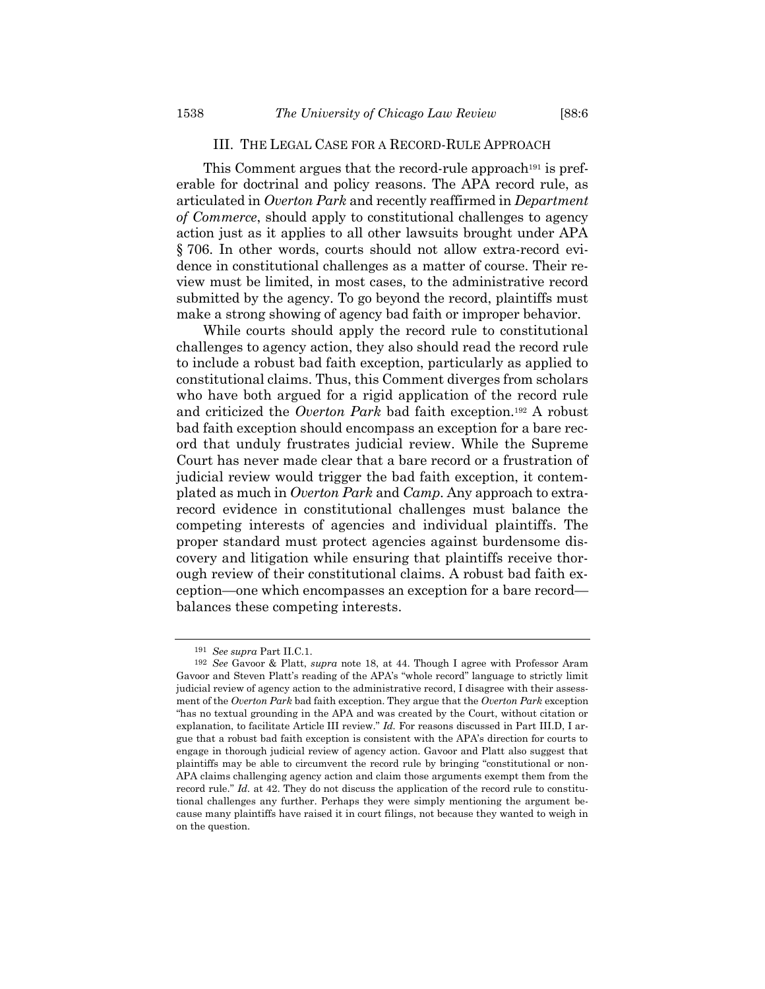# III. THE LEGAL CASE FOR A RECORD-RULE APPROACH

This Comment argues that the record-rule approach<sup>191</sup> is preferable for doctrinal and policy reasons. The APA record rule, as articulated in *Overton Park* and recently reaffirmed in *Department of Commerce*, should apply to constitutional challenges to agency action just as it applies to all other lawsuits brought under APA § 706. In other words, courts should not allow extra-record evidence in constitutional challenges as a matter of course. Their review must be limited, in most cases, to the administrative record submitted by the agency. To go beyond the record, plaintiffs must make a strong showing of agency bad faith or improper behavior.

While courts should apply the record rule to constitutional challenges to agency action, they also should read the record rule to include a robust bad faith exception, particularly as applied to constitutional claims. Thus, this Comment diverges from scholars who have both argued for a rigid application of the record rule and criticized the *Overton Park* bad faith exception.<sup>192</sup> A robust bad faith exception should encompass an exception for a bare record that unduly frustrates judicial review. While the Supreme Court has never made clear that a bare record or a frustration of judicial review would trigger the bad faith exception, it contemplated as much in *Overton Park* and *Camp*. Any approach to extrarecord evidence in constitutional challenges must balance the competing interests of agencies and individual plaintiffs. The proper standard must protect agencies against burdensome discovery and litigation while ensuring that plaintiffs receive thorough review of their constitutional claims. A robust bad faith exception—one which encompasses an exception for a bare record balances these competing interests.

<sup>191</sup> *See supra* Part II.C.1.

<sup>192</sup> *See* Gavoor & Platt, *supra* note [18,](#page-2-0) at 44. Though I agree with Professor Aram Gavoor and Steven Platt's reading of the APA's "whole record" language to strictly limit judicial review of agency action to the administrative record, I disagree with their assessment of the *Overton Park* bad faith exception. They argue that the *Overton Park* exception "has no textual grounding in the APA and was created by the Court, without citation or explanation, to facilitate Article III review." *Id.* For reasons discussed in Part III.D, I argue that a robust bad faith exception is consistent with the APA's direction for courts to engage in thorough judicial review of agency action. Gavoor and Platt also suggest that plaintiffs may be able to circumvent the record rule by bringing "constitutional or non-APA claims challenging agency action and claim those arguments exempt them from the record rule." *Id.* at 42. They do not discuss the application of the record rule to constitutional challenges any further. Perhaps they were simply mentioning the argument because many plaintiffs have raised it in court filings, not because they wanted to weigh in on the question.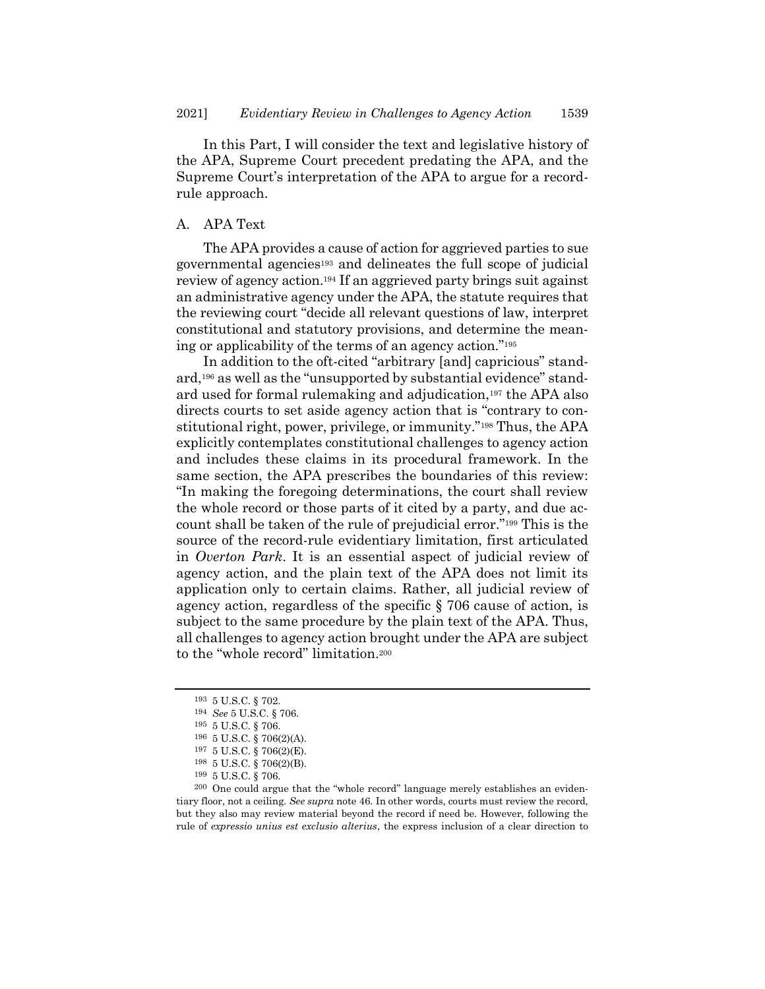In this Part, I will consider the text and legislative history of the APA, Supreme Court precedent predating the APA, and the Supreme Court's interpretation of the APA to argue for a recordrule approach.

# A. APA Text

The APA provides a cause of action for aggrieved parties to sue governmental agencies<sup>193</sup> and delineates the full scope of judicial review of agency action.<sup>194</sup> If an aggrieved party brings suit against an administrative agency under the APA, the statute requires that the reviewing court "decide all relevant questions of law, interpret constitutional and statutory provisions, and determine the meaning or applicability of the terms of an agency action."<sup>195</sup>

In addition to the oft-cited "arbitrary [and] capricious" standard,<sup>196</sup> as well as the "unsupported by substantial evidence" standard used for formal rulemaking and adjudication,<sup>197</sup> the APA also directs courts to set aside agency action that is "contrary to constitutional right, power, privilege, or immunity."<sup>198</sup> Thus, the APA explicitly contemplates constitutional challenges to agency action and includes these claims in its procedural framework. In the same section, the APA prescribes the boundaries of this review: "In making the foregoing determinations, the court shall review the whole record or those parts of it cited by a party, and due account shall be taken of the rule of prejudicial error."<sup>199</sup> This is the source of the record-rule evidentiary limitation, first articulated in *Overton Park*. It is an essential aspect of judicial review of agency action, and the plain text of the APA does not limit its application only to certain claims. Rather, all judicial review of agency action, regardless of the specific § 706 cause of action, is subject to the same procedure by the plain text of the APA. Thus, all challenges to agency action brought under the APA are subject to the "whole record" limitation.<sup>200</sup>

<sup>193</sup> 5 U.S.C. § 702.

<sup>194</sup> *See* 5 U.S.C. § 706.

<sup>195</sup> 5 U.S.C. § 706.

<sup>196</sup> 5 U.S.C. § 706(2)(A).

<sup>197</sup> 5 U.S.C. § 706(2)(E).

<sup>198</sup> 5 U.S.C. § 706(2)(B).

<sup>199</sup> 5 U.S.C. § 706.

<sup>200</sup> One could argue that the "whole record" language merely establishes an evidentiary floor, not a ceiling. *See supra* not[e 46.](#page-7-1) In other words, courts must review the record, but they also may review material beyond the record if need be. However, following the rule of *expressio unius est exclusio alterius*, the express inclusion of a clear direction to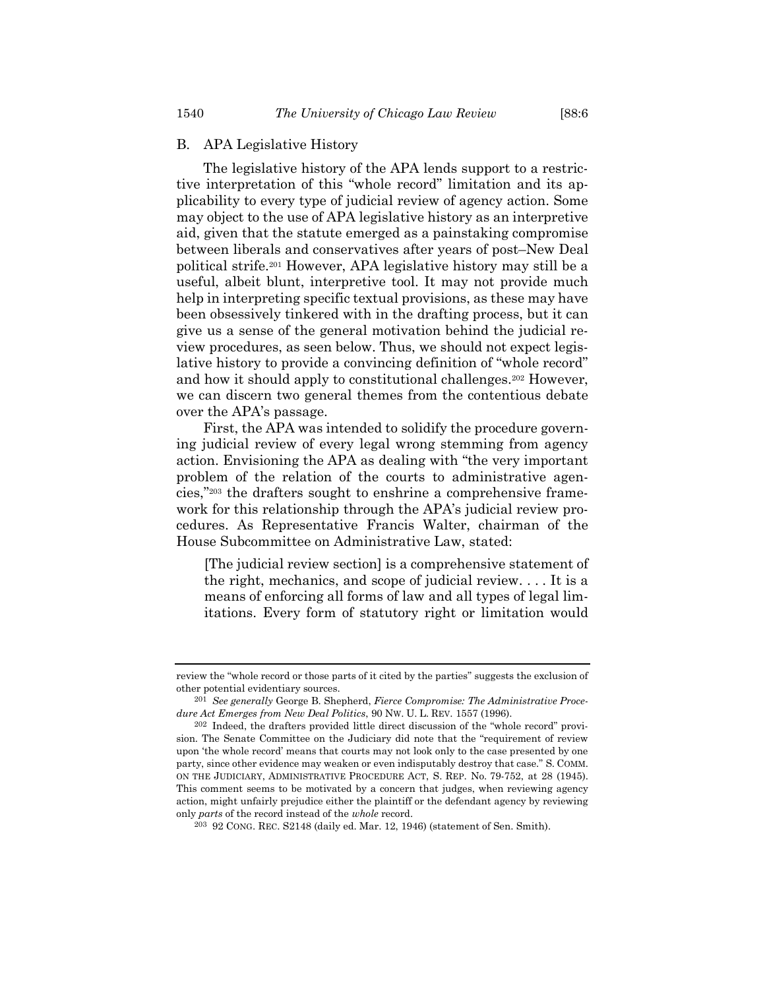#### B. APA Legislative History

The legislative history of the APA lends support to a restrictive interpretation of this "whole record" limitation and its applicability to every type of judicial review of agency action. Some may object to the use of APA legislative history as an interpretive aid, given that the statute emerged as a painstaking compromise between liberals and conservatives after years of post–New Deal political strife.<sup>201</sup> However, APA legislative history may still be a useful, albeit blunt, interpretive tool. It may not provide much help in interpreting specific textual provisions, as these may have been obsessively tinkered with in the drafting process, but it can give us a sense of the general motivation behind the judicial review procedures, as seen below. Thus, we should not expect legislative history to provide a convincing definition of "whole record" and how it should apply to constitutional challenges.<sup>202</sup> However, we can discern two general themes from the contentious debate over the APA's passage.

First, the APA was intended to solidify the procedure governing judicial review of every legal wrong stemming from agency action. Envisioning the APA as dealing with "the very important problem of the relation of the courts to administrative agencies,"<sup>203</sup> the drafters sought to enshrine a comprehensive framework for this relationship through the APA's judicial review procedures. As Representative Francis Walter, chairman of the House Subcommittee on Administrative Law, stated:

[The judicial review section] is a comprehensive statement of the right, mechanics, and scope of judicial review. . . . It is a means of enforcing all forms of law and all types of legal limitations. Every form of statutory right or limitation would

review the "whole record or those parts of it cited by the parties" suggests the exclusion of other potential evidentiary sources.

<sup>201</sup> *See generally* George B. Shepherd, *Fierce Compromise: The Administrative Procedure Act Emerges from New Deal Politics*, 90 NW. U. L. REV. 1557 (1996).

<sup>202</sup> Indeed, the drafters provided little direct discussion of the "whole record" provision. The Senate Committee on the Judiciary did note that the "requirement of review upon 'the whole record' means that courts may not look only to the case presented by one party, since other evidence may weaken or even indisputably destroy that case." S. COMM. ON THE JUDICIARY, ADMINISTRATIVE PROCEDURE ACT, S. REP. No. 79-752, at 28 (1945). This comment seems to be motivated by a concern that judges, when reviewing agency action, might unfairly prejudice either the plaintiff or the defendant agency by reviewing only *parts* of the record instead of the *whole* record.

<sup>203</sup> 92 CONG. REC. S2148 (daily ed. Mar. 12, 1946) (statement of Sen. Smith).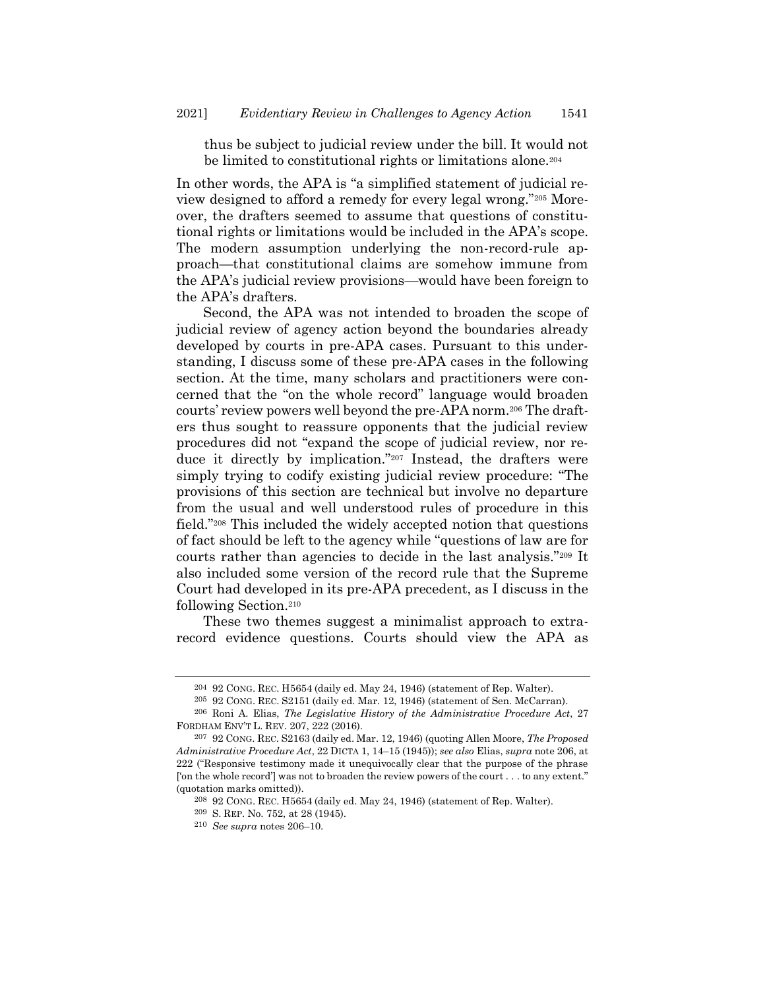thus be subject to judicial review under the bill. It would not be limited to constitutional rights or limitations alone.<sup>204</sup>

In other words, the APA is "a simplified statement of judicial review designed to afford a remedy for every legal wrong."<sup>205</sup> Moreover, the drafters seemed to assume that questions of constitutional rights or limitations would be included in the APA's scope. The modern assumption underlying the non-record-rule approach—that constitutional claims are somehow immune from the APA's judicial review provisions—would have been foreign to the APA's drafters.

<span id="page-30-0"></span>Second, the APA was not intended to broaden the scope of judicial review of agency action beyond the boundaries already developed by courts in pre-APA cases. Pursuant to this understanding, I discuss some of these pre-APA cases in the following section. At the time, many scholars and practitioners were concerned that the "on the whole record" language would broaden courts' review powers well beyond the pre-APA norm.<sup>206</sup> The drafters thus sought to reassure opponents that the judicial review procedures did not "expand the scope of judicial review, nor reduce it directly by implication."<sup>207</sup> Instead, the drafters were simply trying to codify existing judicial review procedure: "The provisions of this section are technical but involve no departure from the usual and well understood rules of procedure in this field."<sup>208</sup> This included the widely accepted notion that questions of fact should be left to the agency while "questions of law are for courts rather than agencies to decide in the last analysis."<sup>209</sup> It also included some version of the record rule that the Supreme Court had developed in its pre-APA precedent, as I discuss in the following Section.<sup>210</sup>

These two themes suggest a minimalist approach to extrarecord evidence questions. Courts should view the APA as

<sup>204</sup> 92 CONG. REC. H5654 (daily ed. May 24, 1946) (statement of Rep. Walter).

<sup>205</sup> 92 CONG. REC. S2151 (daily ed. Mar. 12, 1946) (statement of Sen. McCarran).

<sup>206</sup> Roni A. Elias, *The Legislative History of the Administrative Procedure Act*, 27 FORDHAM ENV'T L. REV. 207, 222 (2016).

<sup>207</sup> 92 CONG. REC. S2163 (daily ed. Mar. 12, 1946) (quoting Allen Moore, *The Proposed Administrative Procedure Act*, 22 DICTA 1, 14–15 (1945)); *see also* Elias, *supra* not[e 206,](#page-30-0) at 222 ("Responsive testimony made it unequivocally clear that the purpose of the phrase ['on the whole record'] was not to broaden the review powers of the court . . . to any extent." (quotation marks omitted)).

<sup>208</sup> 92 CONG. REC. H5654 (daily ed. May 24, 1946) (statement of Rep. Walter).

<sup>209</sup> S. REP. No. 752, at 28 (1945).

<sup>210</sup> *See supra* notes [206](#page-30-0)–10.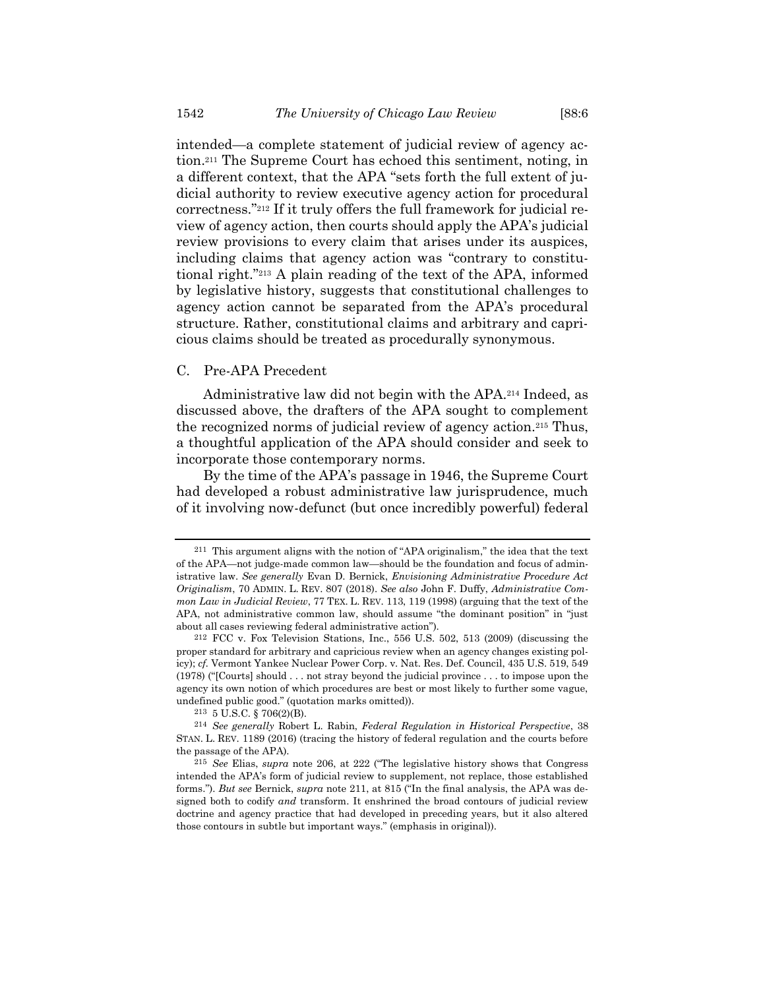<span id="page-31-0"></span>intended—a complete statement of judicial review of agency action.<sup>211</sup> The Supreme Court has echoed this sentiment, noting, in a different context, that the APA "sets forth the full extent of judicial authority to review executive agency action for procedural correctness."<sup>212</sup> If it truly offers the full framework for judicial review of agency action, then courts should apply the APA's judicial review provisions to every claim that arises under its auspices, including claims that agency action was "contrary to constitutional right."<sup>213</sup> A plain reading of the text of the APA, informed by legislative history, suggests that constitutional challenges to agency action cannot be separated from the APA's procedural structure. Rather, constitutional claims and arbitrary and capricious claims should be treated as procedurally synonymous.

# C. Pre-APA Precedent

Administrative law did not begin with the APA.<sup>214</sup> Indeed, as discussed above, the drafters of the APA sought to complement the recognized norms of judicial review of agency action.<sup>215</sup> Thus, a thoughtful application of the APA should consider and seek to incorporate those contemporary norms.

By the time of the APA's passage in 1946, the Supreme Court had developed a robust administrative law jurisprudence, much of it involving now-defunct (but once incredibly powerful) federal

213 5 U.S.C. § 706(2)(B).

<sup>211</sup> This argument aligns with the notion of "APA originalism," the idea that the text of the APA—not judge-made common law—should be the foundation and focus of administrative law. *See generally* Evan D. Bernick, *Envisioning Administrative Procedure Act Originalism*, 70 ADMIN. L. REV. 807 (2018). *See also* John F. Duffy, *Administrative Common Law in Judicial Review*, 77 TEX. L. REV. 113, 119 (1998) (arguing that the text of the APA, not administrative common law, should assume "the dominant position" in "just about all cases reviewing federal administrative action").

<sup>212</sup> FCC v. Fox Television Stations, Inc., 556 U.S. 502, 513 (2009) (discussing the proper standard for arbitrary and capricious review when an agency changes existing policy); *cf.* Vermont Yankee Nuclear Power Corp. v. Nat. Res. Def. Council, 435 U.S. 519, 549 (1978) ("[Courts] should . . . not stray beyond the judicial province . . . to impose upon the agency its own notion of which procedures are best or most likely to further some vague, undefined public good." (quotation marks omitted)).

<sup>214</sup> *See generally* Robert L. Rabin, *Federal Regulation in Historical Perspective*, 38 STAN. L. REV. 1189 (2016) (tracing the history of federal regulation and the courts before the passage of the APA).

<sup>215</sup> *See* Elias, *supra* note [206,](#page-30-0) at 222 ("The legislative history shows that Congress intended the APA's form of judicial review to supplement, not replace, those established forms."). *But see* Bernick, *supra* not[e 211](#page-31-0), at 815 ("In the final analysis, the APA was designed both to codify *and* transform. It enshrined the broad contours of judicial review doctrine and agency practice that had developed in preceding years, but it also altered those contours in subtle but important ways." (emphasis in original)).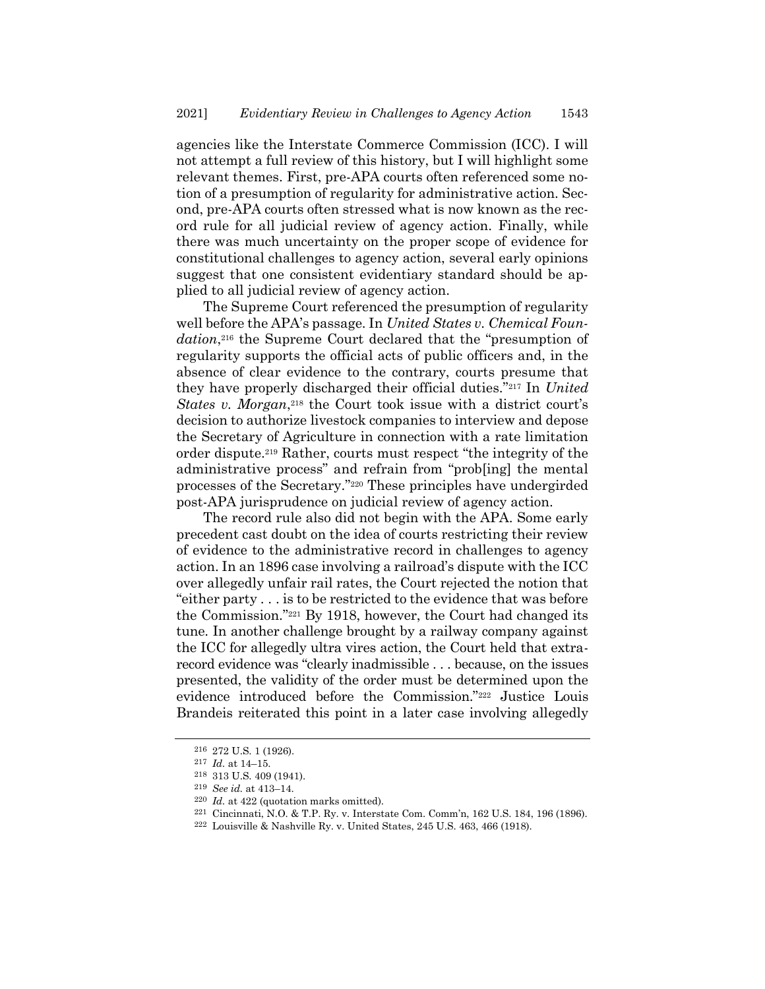agencies like the Interstate Commerce Commission (ICC). I will not attempt a full review of this history, but I will highlight some relevant themes. First, pre-APA courts often referenced some notion of a presumption of regularity for administrative action. Second, pre-APA courts often stressed what is now known as the record rule for all judicial review of agency action. Finally, while there was much uncertainty on the proper scope of evidence for constitutional challenges to agency action, several early opinions suggest that one consistent evidentiary standard should be applied to all judicial review of agency action.

The Supreme Court referenced the presumption of regularity well before the APA's passage. In *United States v. Chemical Foundation*, <sup>216</sup> the Supreme Court declared that the "presumption of regularity supports the official acts of public officers and, in the absence of clear evidence to the contrary, courts presume that they have properly discharged their official duties."<sup>217</sup> In *United*  States v. Morgan,<sup>218</sup> the Court took issue with a district court's decision to authorize livestock companies to interview and depose the Secretary of Agriculture in connection with a rate limitation order dispute. <sup>219</sup> Rather, courts must respect "the integrity of the administrative process" and refrain from "prob[ing] the mental processes of the Secretary."<sup>220</sup> These principles have undergirded post-APA jurisprudence on judicial review of agency action.

The record rule also did not begin with the APA. Some early precedent cast doubt on the idea of courts restricting their review of evidence to the administrative record in challenges to agency action. In an 1896 case involving a railroad's dispute with the ICC over allegedly unfair rail rates, the Court rejected the notion that "either party . . . is to be restricted to the evidence that was before the Commission."<sup>221</sup> By 1918, however, the Court had changed its tune. In another challenge brought by a railway company against the ICC for allegedly ultra vires action, the Court held that extrarecord evidence was "clearly inadmissible . . . because, on the issues presented, the validity of the order must be determined upon the evidence introduced before the Commission."<sup>222</sup> Justice Louis Brandeis reiterated this point in a later case involving allegedly

<sup>216</sup> 272 U.S. 1 (1926).

<sup>217</sup> *Id.* at 14–15.

<sup>218</sup> 313 U.S. 409 (1941).

<sup>219</sup> *See id.* at 413–14.

<sup>220</sup> *Id.* at 422 (quotation marks omitted).

<sup>221</sup> Cincinnati, N.O. & T.P. Ry. v. Interstate Com. Comm'n, 162 U.S. 184, 196 (1896).

<sup>222</sup> Louisville & Nashville Ry. v. United States, 245 U.S. 463, 466 (1918).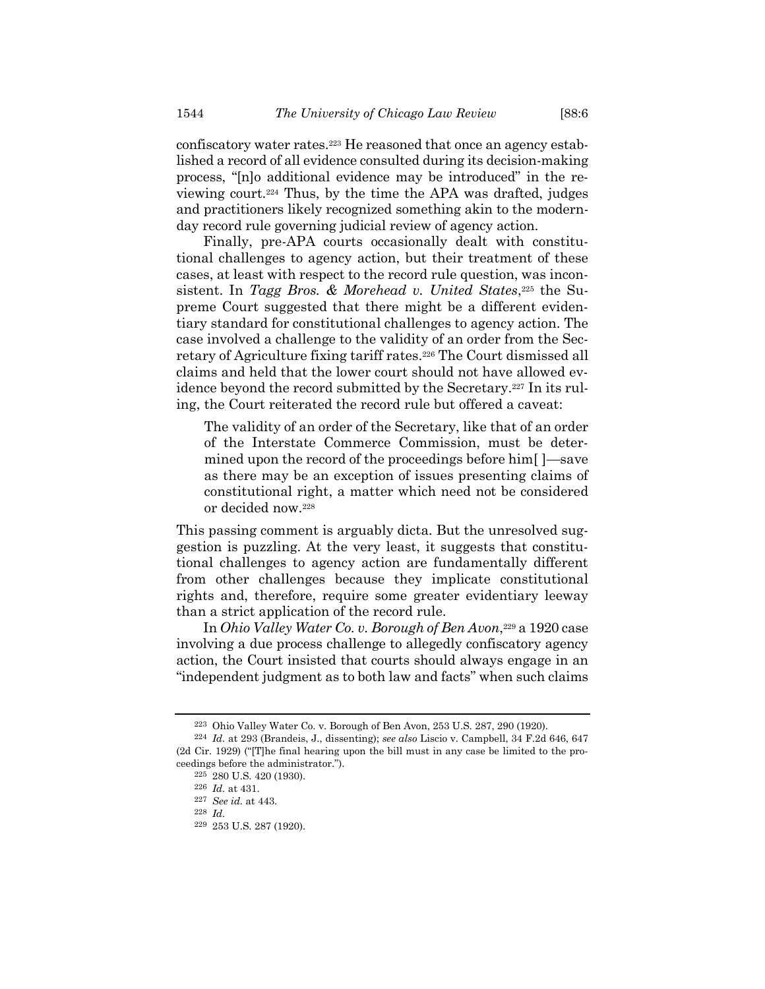confiscatory water rates.<sup>223</sup> He reasoned that once an agency established a record of all evidence consulted during its decision-making process, "[n]o additional evidence may be introduced" in the reviewing court.<sup>224</sup> Thus, by the time the APA was drafted, judges and practitioners likely recognized something akin to the modernday record rule governing judicial review of agency action.

Finally, pre-APA courts occasionally dealt with constitutional challenges to agency action, but their treatment of these cases, at least with respect to the record rule question, was inconsistent. In *Tagg Bros. & Morehead v. United States*, <sup>225</sup> the Supreme Court suggested that there might be a different evidentiary standard for constitutional challenges to agency action. The case involved a challenge to the validity of an order from the Secretary of Agriculture fixing tariff rates.<sup>226</sup> The Court dismissed all claims and held that the lower court should not have allowed evidence beyond the record submitted by the Secretary.<sup>227</sup> In its ruling, the Court reiterated the record rule but offered a caveat:

The validity of an order of the Secretary, like that of an order of the Interstate Commerce Commission, must be determined upon the record of the proceedings before him[ ]—save as there may be an exception of issues presenting claims of constitutional right, a matter which need not be considered or decided now.<sup>228</sup>

This passing comment is arguably dicta. But the unresolved suggestion is puzzling. At the very least, it suggests that constitutional challenges to agency action are fundamentally different from other challenges because they implicate constitutional rights and, therefore, require some greater evidentiary leeway than a strict application of the record rule.

In *Ohio Valley Water Co. v. Borough of Ben Avon*,<sup>229</sup> a 1920 case involving a due process challenge to allegedly confiscatory agency action, the Court insisted that courts should always engage in an "independent judgment as to both law and facts" when such claims

<sup>223</sup> Ohio Valley Water Co. v. Borough of Ben Avon, 253 U.S. 287, 290 (1920).

<sup>224</sup> *Id.* at 293 (Brandeis, J., dissenting); *see also* Liscio v. Campbell, 34 F.2d 646, 647 (2d Cir. 1929) ("[T]he final hearing upon the bill must in any case be limited to the proceedings before the administrator.").

<sup>225</sup> 280 U.S. 420 (1930). 226 *Id.* at 431.

<sup>227</sup> *See id.* at 443.

<sup>228</sup> *Id.*

<sup>229</sup> 253 U.S. 287 (1920).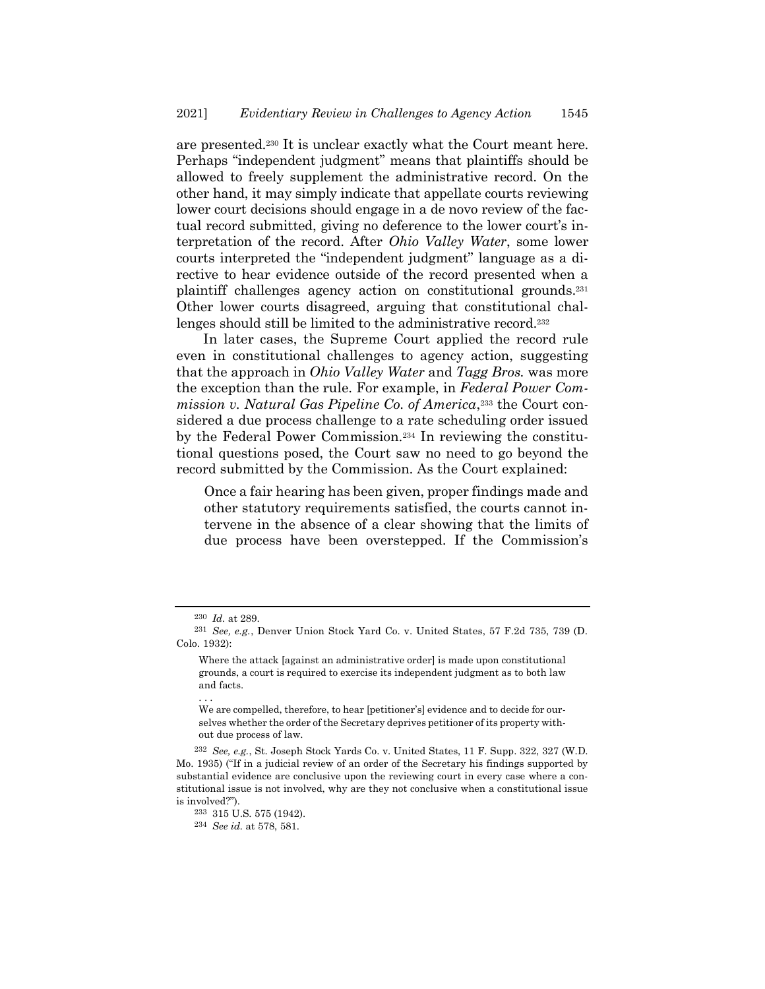are presented.<sup>230</sup> It is unclear exactly what the Court meant here. Perhaps "independent judgment" means that plaintiffs should be allowed to freely supplement the administrative record. On the other hand, it may simply indicate that appellate courts reviewing lower court decisions should engage in a de novo review of the factual record submitted, giving no deference to the lower court's interpretation of the record. After *Ohio Valley Water*, some lower courts interpreted the "independent judgment" language as a directive to hear evidence outside of the record presented when a plaintiff challenges agency action on constitutional grounds.<sup>231</sup> Other lower courts disagreed, arguing that constitutional challenges should still be limited to the administrative record.<sup>232</sup>

In later cases, the Supreme Court applied the record rule even in constitutional challenges to agency action, suggesting that the approach in *Ohio Valley Water* and *Tagg Bros.* was more the exception than the rule. For example, in *Federal Power Com*mission v. Natural Gas Pipeline Co. of America,<sup>233</sup> the Court considered a due process challenge to a rate scheduling order issued by the Federal Power Commission.<sup>234</sup> In reviewing the constitutional questions posed, the Court saw no need to go beyond the record submitted by the Commission. As the Court explained:

Once a fair hearing has been given, proper findings made and other statutory requirements satisfied, the courts cannot intervene in the absence of a clear showing that the limits of due process have been overstepped. If the Commission's

. . .

<sup>230</sup> *Id.* at 289.

<sup>231</sup> *See, e.g.*, Denver Union Stock Yard Co. v. United States, 57 F.2d 735, 739 (D. Colo. 1932):

Where the attack [against an administrative order] is made upon constitutional grounds, a court is required to exercise its independent judgment as to both law and facts.

We are compelled, therefore, to hear [petitioner's] evidence and to decide for ourselves whether the order of the Secretary deprives petitioner of its property without due process of law.

<sup>232</sup> *See, e.g.*, St. Joseph Stock Yards Co. v. United States, 11 F. Supp. 322, 327 (W.D. Mo. 1935) ("If in a judicial review of an order of the Secretary his findings supported by substantial evidence are conclusive upon the reviewing court in every case where a constitutional issue is not involved, why are they not conclusive when a constitutional issue is involved?").

<sup>233</sup> 315 U.S. 575 (1942).

<sup>234</sup> *See id.* at 578, 581.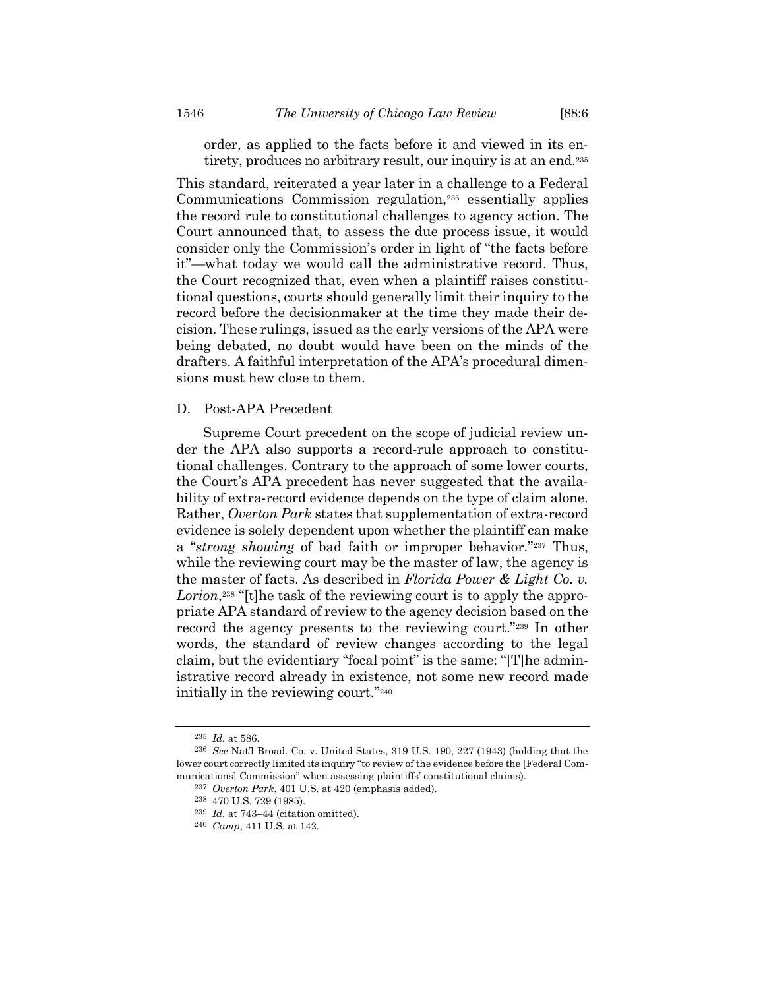order, as applied to the facts before it and viewed in its entirety, produces no arbitrary result, our inquiry is at an end.<sup>235</sup>

This standard, reiterated a year later in a challenge to a Federal Communications Commission regulation,<sup>236</sup> essentially applies the record rule to constitutional challenges to agency action. The Court announced that, to assess the due process issue, it would consider only the Commission's order in light of "the facts before it"—what today we would call the administrative record. Thus, the Court recognized that, even when a plaintiff raises constitutional questions, courts should generally limit their inquiry to the record before the decisionmaker at the time they made their decision. These rulings, issued as the early versions of the APA were being debated, no doubt would have been on the minds of the drafters. A faithful interpretation of the APA's procedural dimensions must hew close to them.

#### D. Post-APA Precedent

Supreme Court precedent on the scope of judicial review under the APA also supports a record-rule approach to constitutional challenges. Contrary to the approach of some lower courts, the Court's APA precedent has never suggested that the availability of extra-record evidence depends on the type of claim alone. Rather, *Overton Park* states that supplementation of extra-record evidence is solely dependent upon whether the plaintiff can make a "*strong showing* of bad faith or improper behavior."<sup>237</sup> Thus, while the reviewing court may be the master of law, the agency is the master of facts. As described in *Florida Power & Light Co. v.*  Lorion,<sup>238</sup> "[t]he task of the reviewing court is to apply the appropriate APA standard of review to the agency decision based on the record the agency presents to the reviewing court."<sup>239</sup> In other words, the standard of review changes according to the legal claim, but the evidentiary "focal point" is the same: "[T]he administrative record already in existence, not some new record made initially in the reviewing court."<sup>240</sup>

<sup>235</sup> *Id.* at 586.

<sup>236</sup> *See* Nat'l Broad. Co. v. United States, 319 U.S. 190, 227 (1943) (holding that the lower court correctly limited its inquiry "to review of the evidence before the [Federal Communications] Commission" when assessing plaintiffs' constitutional claims).

<sup>237</sup> *Overton Park*, 401 U.S. at 420 (emphasis added).

<sup>238</sup> 470 U.S. 729 (1985).

<sup>239</sup> *Id.* at 743–44 (citation omitted).

<sup>240</sup> *Camp*, 411 U.S. at 142.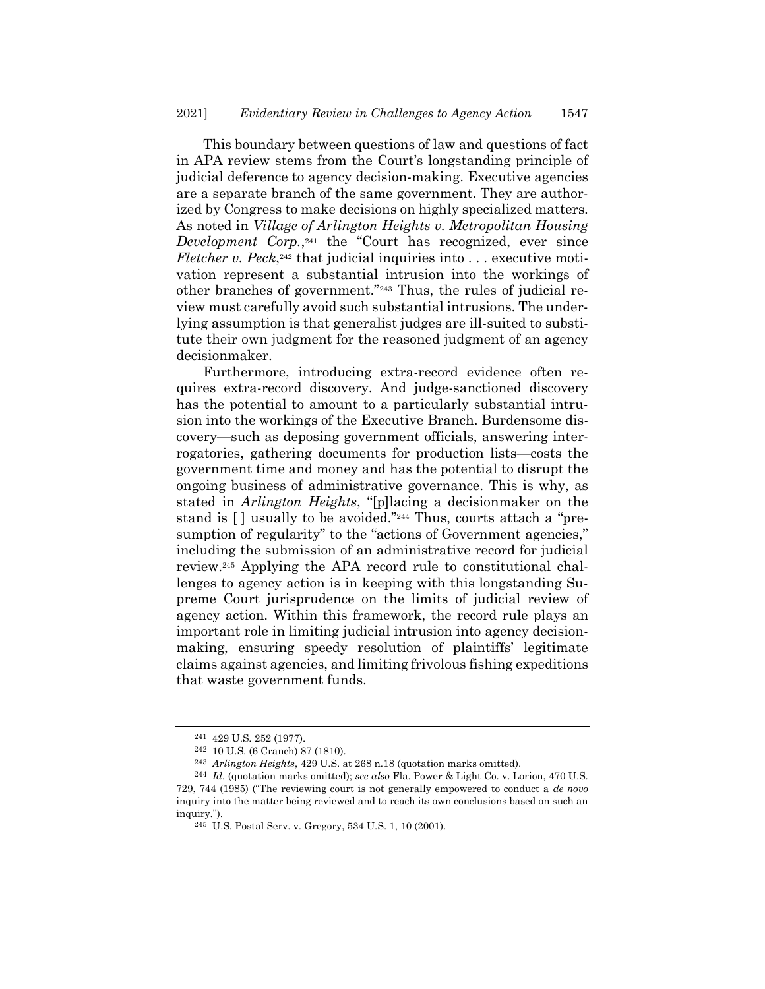This boundary between questions of law and questions of fact in APA review stems from the Court's longstanding principle of judicial deference to agency decision-making. Executive agencies are a separate branch of the same government. They are authorized by Congress to make decisions on highly specialized matters. As noted in *Village of Arlington Heights v. Metropolitan Housing Development Corp.*, <sup>241</sup> the "Court has recognized, ever since *Fletcher v. Peck*,<sup>242</sup> that judicial inquiries into . . . executive motivation represent a substantial intrusion into the workings of other branches of government."<sup>243</sup> Thus, the rules of judicial review must carefully avoid such substantial intrusions. The underlying assumption is that generalist judges are ill-suited to substitute their own judgment for the reasoned judgment of an agency decisionmaker.

Furthermore, introducing extra-record evidence often requires extra-record discovery. And judge-sanctioned discovery has the potential to amount to a particularly substantial intrusion into the workings of the Executive Branch. Burdensome discovery—such as deposing government officials, answering interrogatories, gathering documents for production lists—costs the government time and money and has the potential to disrupt the ongoing business of administrative governance. This is why, as stated in *Arlington Heights*, "[p]lacing a decisionmaker on the stand is [] usually to be avoided."<sup>244</sup> Thus, courts attach a "presumption of regularity" to the "actions of Government agencies," including the submission of an administrative record for judicial review. <sup>245</sup> Applying the APA record rule to constitutional challenges to agency action is in keeping with this longstanding Supreme Court jurisprudence on the limits of judicial review of agency action. Within this framework, the record rule plays an important role in limiting judicial intrusion into agency decisionmaking, ensuring speedy resolution of plaintiffs' legitimate claims against agencies, and limiting frivolous fishing expeditions that waste government funds.

<sup>241</sup> 429 U.S. 252 (1977).

<sup>242</sup> 10 U.S. (6 Cranch) 87 (1810).

<sup>243</sup> *Arlington Heights*, 429 U.S. at 268 n.18 (quotation marks omitted).

<sup>244</sup> *Id.* (quotation marks omitted); *see also* Fla. Power & Light Co. v. Lorion, 470 U.S. 729, 744 (1985) ("The reviewing court is not generally empowered to conduct a *de novo* inquiry into the matter being reviewed and to reach its own conclusions based on such an inquiry.").

<sup>245</sup> U.S. Postal Serv. v. Gregory, 534 U.S. 1, 10 (2001).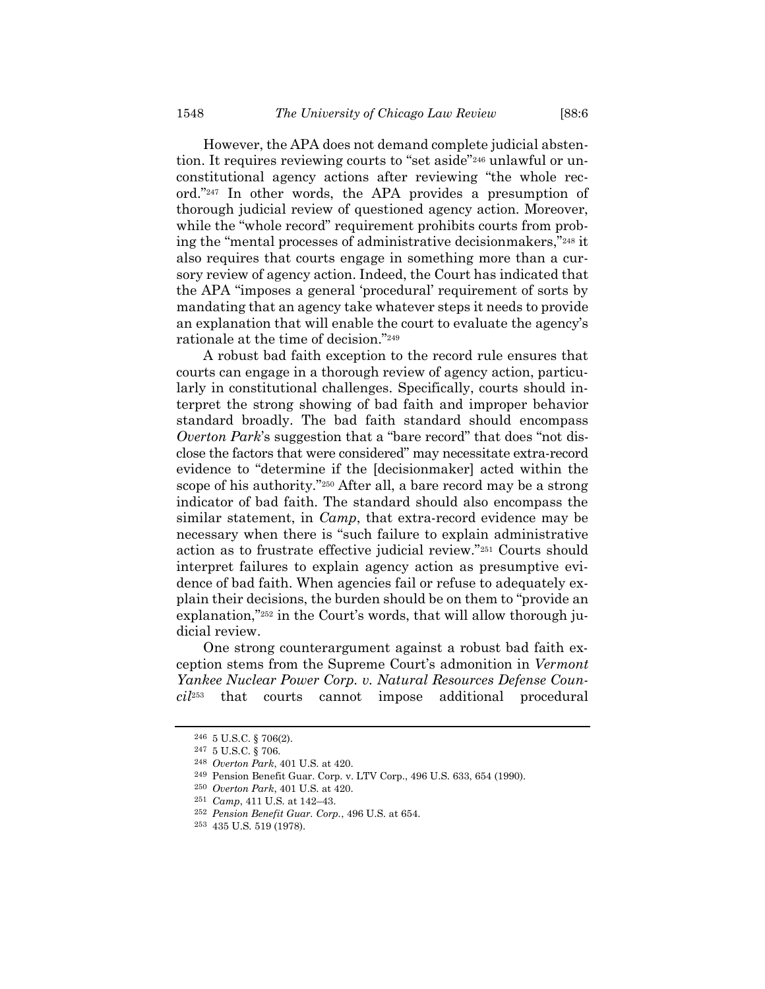However, the APA does not demand complete judicial abstention. It requires reviewing courts to "set aside"<sup>246</sup> unlawful or unconstitutional agency actions after reviewing "the whole record."<sup>247</sup> In other words, the APA provides a presumption of thorough judicial review of questioned agency action. Moreover, while the "whole record" requirement prohibits courts from probing the "mental processes of administrative decisionmakers,"<sup>248</sup> it also requires that courts engage in something more than a cursory review of agency action. Indeed, the Court has indicated that the APA "imposes a general 'procedural' requirement of sorts by mandating that an agency take whatever steps it needs to provide an explanation that will enable the court to evaluate the agency's rationale at the time of decision."<sup>249</sup>

<span id="page-37-0"></span>A robust bad faith exception to the record rule ensures that courts can engage in a thorough review of agency action, particularly in constitutional challenges. Specifically, courts should interpret the strong showing of bad faith and improper behavior standard broadly. The bad faith standard should encompass *Overton Park*'s suggestion that a "bare record" that does "not disclose the factors that were considered" may necessitate extra-record evidence to "determine if the [decisionmaker] acted within the scope of his authority."<sup>250</sup> After all, a bare record may be a strong indicator of bad faith. The standard should also encompass the similar statement, in *Camp*, that extra-record evidence may be necessary when there is "such failure to explain administrative action as to frustrate effective judicial review."<sup>251</sup> Courts should interpret failures to explain agency action as presumptive evidence of bad faith. When agencies fail or refuse to adequately explain their decisions, the burden should be on them to "provide an explanation,"<sup>252</sup> in the Court's words, that will allow thorough judicial review.

One strong counterargument against a robust bad faith exception stems from the Supreme Court's admonition in *Vermont Yankee Nuclear Power Corp. v. Natural Resources Defense Council*<sup>253</sup> that courts cannot impose additional procedural

<sup>246</sup> 5 U.S.C. § 706(2).

<sup>247</sup> 5 U.S.C. § 706.

<sup>248</sup> *Overton Park*, 401 U.S. at 420.

<sup>249</sup> Pension Benefit Guar. Corp. v. LTV Corp., 496 U.S. 633, 654 (1990).

<sup>250</sup> *Overton Park*, 401 U.S. at 420.

<sup>251</sup> *Camp*, 411 U.S. at 142–43.

<sup>252</sup> *Pension Benefit Guar. Corp.*, 496 U.S. at 654.

<sup>253</sup> 435 U.S. 519 (1978).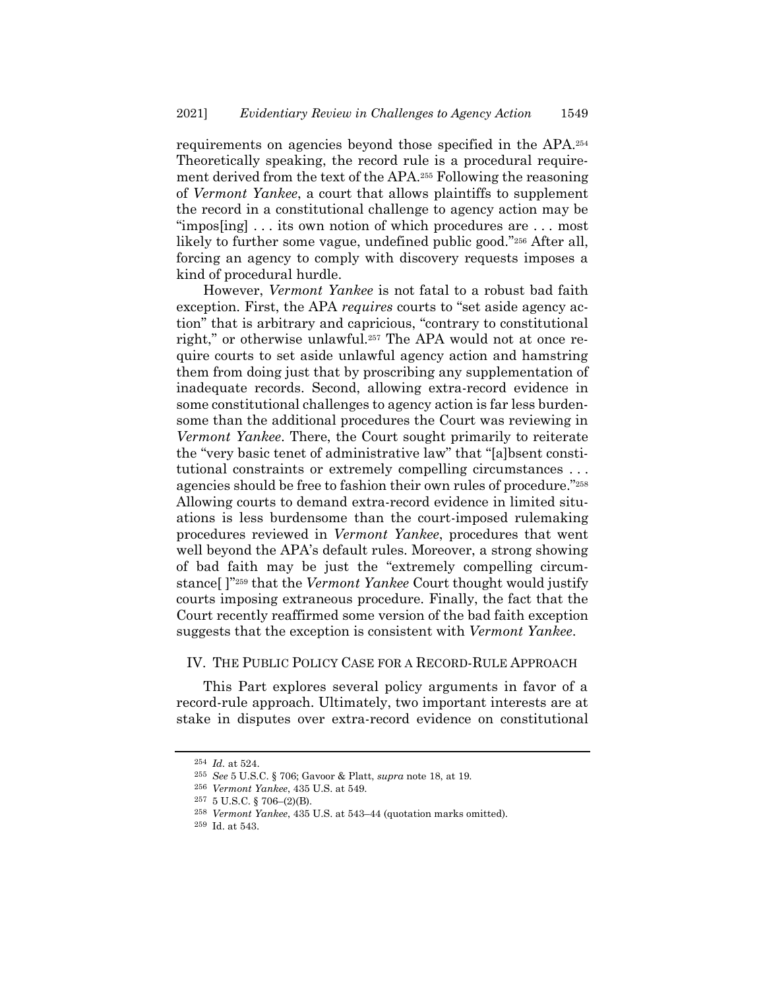requirements on agencies beyond those specified in the APA.<sup>254</sup> Theoretically speaking, the record rule is a procedural requirement derived from the text of the APA.<sup>255</sup> Following the reasoning of *Vermont Yankee*, a court that allows plaintiffs to supplement the record in a constitutional challenge to agency action may be "impos[ing] . . . its own notion of which procedures are . . . most likely to further some vague, undefined public good."<sup>256</sup> After all, forcing an agency to comply with discovery requests imposes a kind of procedural hurdle.

However, *Vermont Yankee* is not fatal to a robust bad faith exception. First, the APA *requires* courts to "set aside agency action" that is arbitrary and capricious, "contrary to constitutional right," or otherwise unlawful.<sup>257</sup> The APA would not at once require courts to set aside unlawful agency action and hamstring them from doing just that by proscribing any supplementation of inadequate records. Second, allowing extra-record evidence in some constitutional challenges to agency action is far less burdensome than the additional procedures the Court was reviewing in *Vermont Yankee*. There, the Court sought primarily to reiterate the "very basic tenet of administrative law" that "[a]bsent constitutional constraints or extremely compelling circumstances . . . agencies should be free to fashion their own rules of procedure."<sup>258</sup> Allowing courts to demand extra-record evidence in limited situations is less burdensome than the court-imposed rulemaking procedures reviewed in *Vermont Yankee*, procedures that went well beyond the APA's default rules. Moreover, a strong showing of bad faith may be just the "extremely compelling circumstance[ ]"<sup>259</sup> that the *Vermont Yankee* Court thought would justify courts imposing extraneous procedure. Finally, the fact that the Court recently reaffirmed some version of the bad faith exception suggests that the exception is consistent with *Vermont Yankee*.

#### IV. THE PUBLIC POLICY CASE FOR A RECORD-RULE APPROACH

This Part explores several policy arguments in favor of a record-rule approach. Ultimately, two important interests are at stake in disputes over extra-record evidence on constitutional

<sup>254</sup> *Id.* at 524.

<sup>255</sup> *See* 5 U.S.C. § 706; Gavoor & Platt, *supra* not[e 18,](#page-2-0) at 19.

<sup>256</sup> *Vermont Yankee*, 435 U.S. at 549.

<sup>257</sup> 5 U.S.C. § 706–(2)(B).

<sup>258</sup> *Vermont Yankee*, 435 U.S. at 543–44 (quotation marks omitted).

<sup>259</sup> Id. at 543.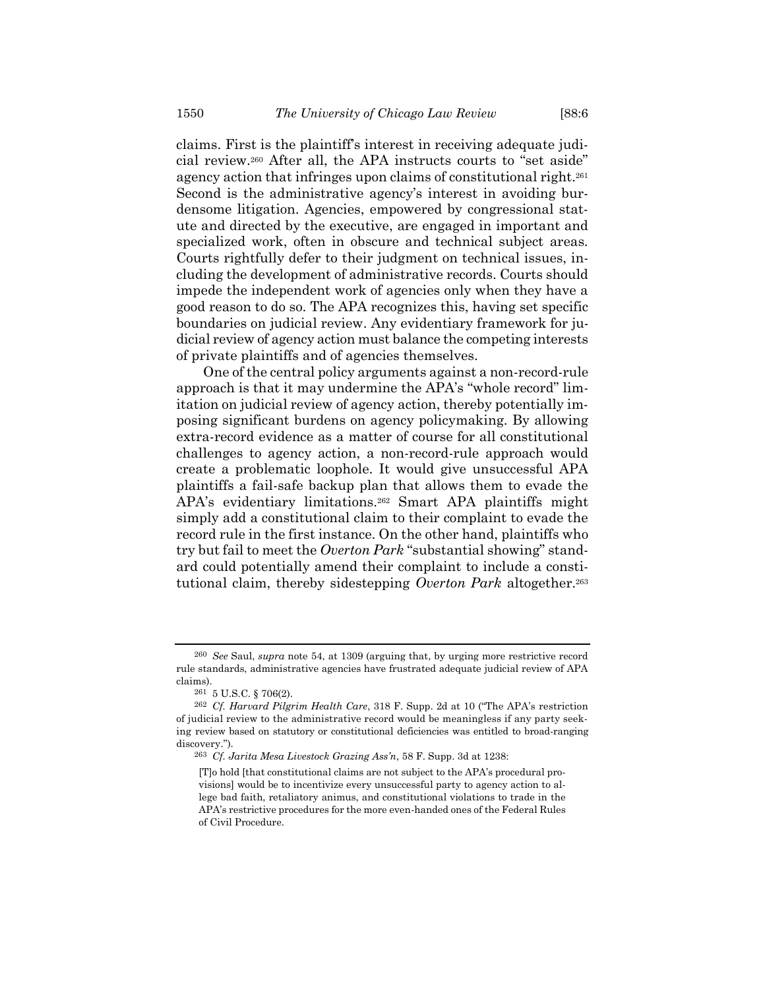claims. First is the plaintiff's interest in receiving adequate judicial review.<sup>260</sup> After all, the APA instructs courts to "set aside" agency action that infringes upon claims of constitutional right.<sup>261</sup> Second is the administrative agency's interest in avoiding burdensome litigation. Agencies, empowered by congressional statute and directed by the executive, are engaged in important and specialized work, often in obscure and technical subject areas. Courts rightfully defer to their judgment on technical issues, including the development of administrative records. Courts should impede the independent work of agencies only when they have a good reason to do so. The APA recognizes this, having set specific boundaries on judicial review. Any evidentiary framework for judicial review of agency action must balance the competing interests of private plaintiffs and of agencies themselves.

One of the central policy arguments against a non-record-rule approach is that it may undermine the APA's "whole record" limitation on judicial review of agency action, thereby potentially imposing significant burdens on agency policymaking. By allowing extra-record evidence as a matter of course for all constitutional challenges to agency action, a non-record-rule approach would create a problematic loophole. It would give unsuccessful APA plaintiffs a fail-safe backup plan that allows them to evade the APA's evidentiary limitations.<sup>262</sup> Smart APA plaintiffs might simply add a constitutional claim to their complaint to evade the record rule in the first instance. On the other hand, plaintiffs who try but fail to meet the *Overton Park* "substantial showing" standard could potentially amend their complaint to include a constitutional claim, thereby sidestepping *Overton Park* altogether.<sup>263</sup>

<sup>260</sup> *See* Saul, *supra* note [54,](#page-7-0) at 1309 (arguing that, by urging more restrictive record rule standards, administrative agencies have frustrated adequate judicial review of APA claims).

<sup>261</sup> 5 U.S.C. § 706(2).

<sup>262</sup> *Cf. Harvard Pilgrim Health Care*, 318 F. Supp. 2d at 10 ("The APA's restriction of judicial review to the administrative record would be meaningless if any party seeking review based on statutory or constitutional deficiencies was entitled to broad-ranging discovery.").

<sup>263</sup> *Cf. Jarita Mesa Livestock Grazing Ass'n*, 58 F. Supp. 3d at 1238:

<sup>[</sup>T]o hold [that constitutional claims are not subject to the APA's procedural provisions] would be to incentivize every unsuccessful party to agency action to allege bad faith, retaliatory animus, and constitutional violations to trade in the APA's restrictive procedures for the more even-handed ones of the Federal Rules of Civil Procedure.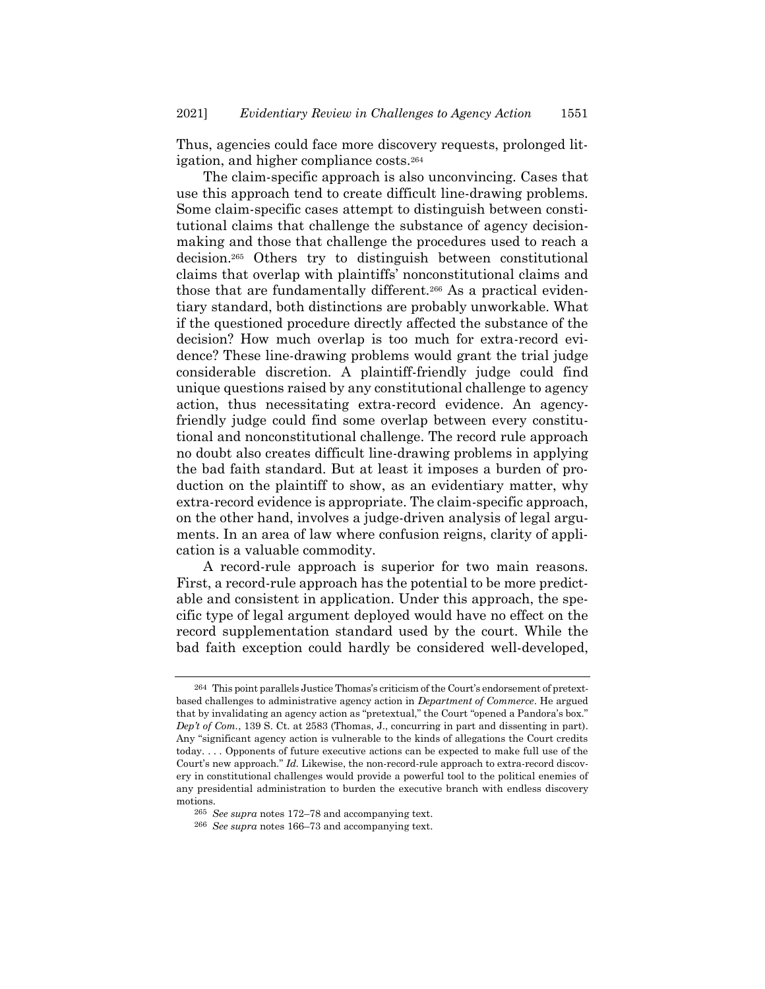Thus, agencies could face more discovery requests, prolonged litigation, and higher compliance costs.<sup>264</sup>

The claim-specific approach is also unconvincing. Cases that use this approach tend to create difficult line-drawing problems. Some claim-specific cases attempt to distinguish between constitutional claims that challenge the substance of agency decisionmaking and those that challenge the procedures used to reach a decision. <sup>265</sup> Others try to distinguish between constitutional claims that overlap with plaintiffs' nonconstitutional claims and those that are fundamentally different.<sup>266</sup> As a practical evidentiary standard, both distinctions are probably unworkable. What if the questioned procedure directly affected the substance of the decision? How much overlap is too much for extra-record evidence? These line-drawing problems would grant the trial judge considerable discretion. A plaintiff-friendly judge could find unique questions raised by any constitutional challenge to agency action, thus necessitating extra-record evidence. An agencyfriendly judge could find some overlap between every constitutional and nonconstitutional challenge. The record rule approach no doubt also creates difficult line-drawing problems in applying the bad faith standard. But at least it imposes a burden of production on the plaintiff to show, as an evidentiary matter, why extra-record evidence is appropriate. The claim-specific approach, on the other hand, involves a judge-driven analysis of legal arguments. In an area of law where confusion reigns, clarity of application is a valuable commodity.

A record-rule approach is superior for two main reasons. First, a record-rule approach has the potential to be more predictable and consistent in application. Under this approach, the specific type of legal argument deployed would have no effect on the record supplementation standard used by the court. While the bad faith exception could hardly be considered well-developed,

<sup>264</sup> This point parallels Justice Thomas's criticism of the Court's endorsement of pretextbased challenges to administrative agency action in *Department of Commerce*. He argued that by invalidating an agency action as "pretextual," the Court "opened a Pandora's box." *Dep't of Com.*, 139 S. Ct. at 2583 (Thomas, J., concurring in part and dissenting in part). Any "significant agency action is vulnerable to the kinds of allegations the Court credits today. . . . Opponents of future executive actions can be expected to make full use of the Court's new approach." *Id.* Likewise, the non-record-rule approach to extra-record discovery in constitutional challenges would provide a powerful tool to the political enemies of any presidential administration to burden the executive branch with endless discovery motions.

<sup>265</sup> *See supra* notes [172](#page-24-0)–78 and accompanying text.

<sup>266</sup> *See supra* notes [166](#page-24-1)–73 and accompanying text.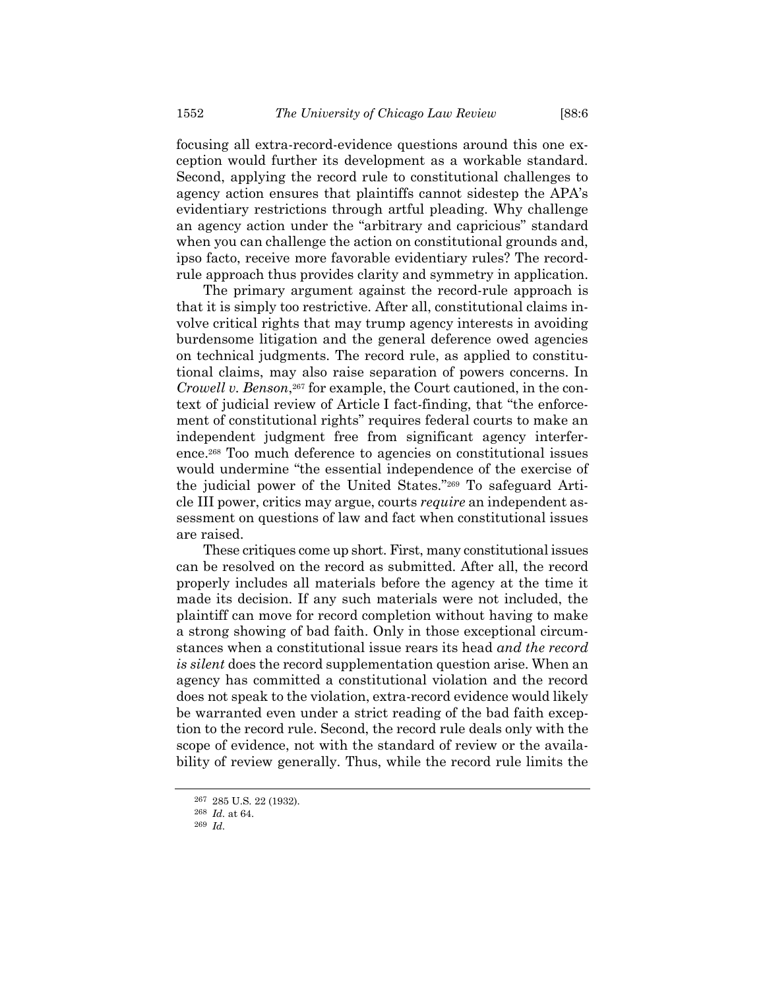focusing all extra-record-evidence questions around this one exception would further its development as a workable standard. Second, applying the record rule to constitutional challenges to agency action ensures that plaintiffs cannot sidestep the APA's evidentiary restrictions through artful pleading. Why challenge an agency action under the "arbitrary and capricious" standard when you can challenge the action on constitutional grounds and, ipso facto, receive more favorable evidentiary rules? The recordrule approach thus provides clarity and symmetry in application.

The primary argument against the record-rule approach is that it is simply too restrictive. After all, constitutional claims involve critical rights that may trump agency interests in avoiding burdensome litigation and the general deference owed agencies on technical judgments. The record rule, as applied to constitutional claims, may also raise separation of powers concerns. In *Crowell v. Benson*, <sup>267</sup> for example, the Court cautioned, in the context of judicial review of Article I fact-finding, that "the enforcement of constitutional rights" requires federal courts to make an independent judgment free from significant agency interference.<sup>268</sup> Too much deference to agencies on constitutional issues would undermine "the essential independence of the exercise of the judicial power of the United States."<sup>269</sup> To safeguard Article III power, critics may argue, courts *require* an independent assessment on questions of law and fact when constitutional issues are raised.

These critiques come up short. First, many constitutional issues can be resolved on the record as submitted. After all, the record properly includes all materials before the agency at the time it made its decision. If any such materials were not included, the plaintiff can move for record completion without having to make a strong showing of bad faith. Only in those exceptional circumstances when a constitutional issue rears its head *and the record is silent* does the record supplementation question arise. When an agency has committed a constitutional violation and the record does not speak to the violation, extra-record evidence would likely be warranted even under a strict reading of the bad faith exception to the record rule. Second, the record rule deals only with the scope of evidence, not with the standard of review or the availability of review generally. Thus, while the record rule limits the

<sup>267</sup> 285 U.S. 22 (1932).

<sup>268</sup> *Id.* at 64.

<sup>269</sup> *Id.*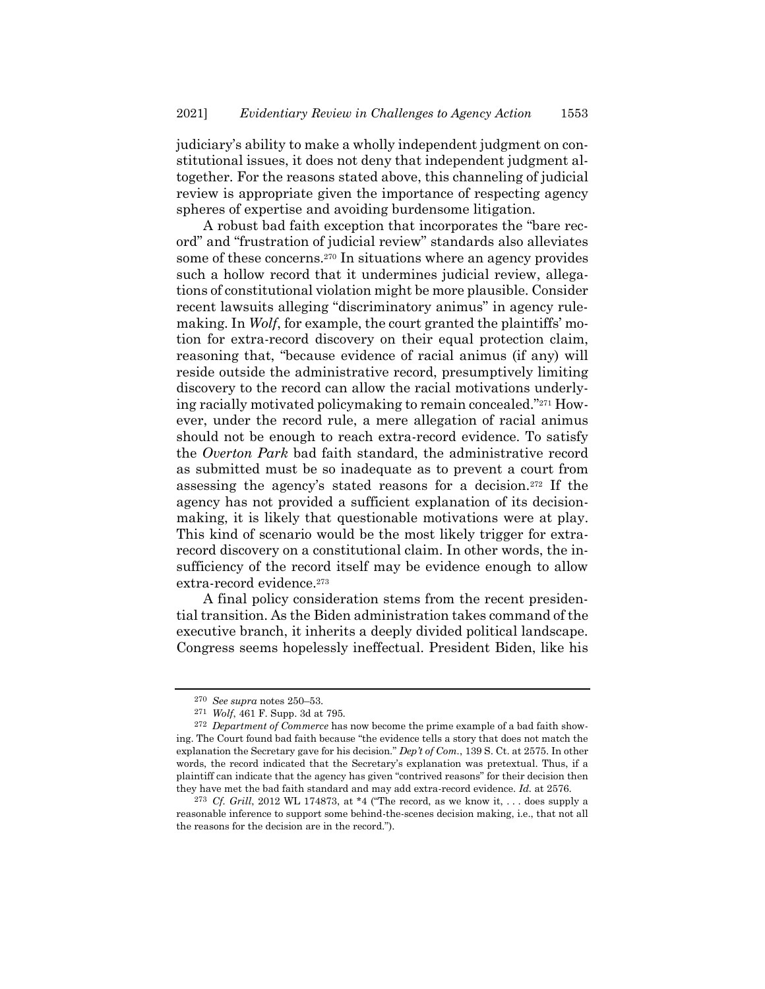judiciary's ability to make a wholly independent judgment on constitutional issues, it does not deny that independent judgment altogether. For the reasons stated above, this channeling of judicial review is appropriate given the importance of respecting agency spheres of expertise and avoiding burdensome litigation.

A robust bad faith exception that incorporates the "bare record" and "frustration of judicial review" standards also alleviates some of these concerns.<sup>270</sup> In situations where an agency provides such a hollow record that it undermines judicial review, allegations of constitutional violation might be more plausible. Consider recent lawsuits alleging "discriminatory animus" in agency rulemaking. In *Wolf*, for example, the court granted the plaintiffs' motion for extra-record discovery on their equal protection claim, reasoning that, "because evidence of racial animus (if any) will reside outside the administrative record, presumptively limiting discovery to the record can allow the racial motivations underlying racially motivated policymaking to remain concealed."<sup>271</sup> However, under the record rule, a mere allegation of racial animus should not be enough to reach extra-record evidence. To satisfy the *Overton Park* bad faith standard, the administrative record as submitted must be so inadequate as to prevent a court from assessing the agency's stated reasons for a decision.<sup>272</sup> If the agency has not provided a sufficient explanation of its decisionmaking, it is likely that questionable motivations were at play. This kind of scenario would be the most likely trigger for extrarecord discovery on a constitutional claim. In other words, the insufficiency of the record itself may be evidence enough to allow extra-record evidence.<sup>273</sup>

A final policy consideration stems from the recent presidential transition. As the Biden administration takes command of the executive branch, it inherits a deeply divided political landscape. Congress seems hopelessly ineffectual. President Biden, like his

<sup>270</sup> *See supra* notes [250](#page-37-0)–53.

<sup>271</sup> *Wolf*, 461 F. Supp. 3d at 795.

<sup>272</sup> *Department of Commerce* has now become the prime example of a bad faith showing. The Court found bad faith because "the evidence tells a story that does not match the explanation the Secretary gave for his decision." *Dep't of Com.*, 139 S. Ct. at 2575. In other words, the record indicated that the Secretary's explanation was pretextual. Thus, if a plaintiff can indicate that the agency has given "contrived reasons" for their decision then they have met the bad faith standard and may add extra-record evidence. *Id.* at 2576.

<sup>&</sup>lt;sup>273</sup> *Cf. Grill*, 2012 WL 174873, at  $*4$  ("The record, as we know it, ... does supply a reasonable inference to support some behind-the-scenes decision making, i.e., that not all the reasons for the decision are in the record.").